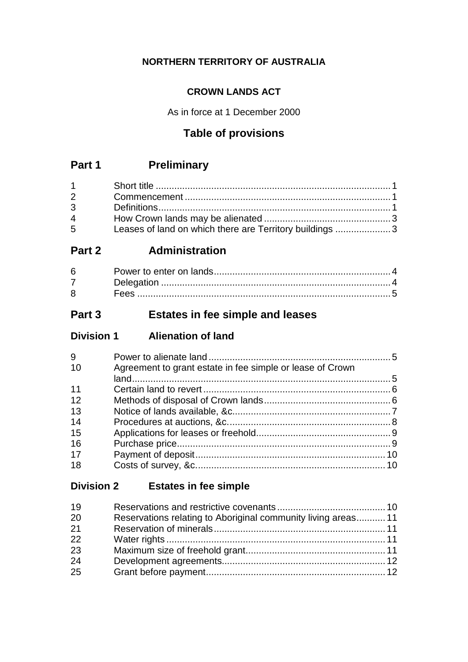## **NORTHERN TERRITORY OF AUSTRALIA**

## **CROWN LANDS ACT**

As in force at 1 December 2000

## **Table of provisions**

## **Part 1 Preliminary**

| $1 \quad \blacksquare$         |                                                         |  |
|--------------------------------|---------------------------------------------------------|--|
| $2 \left( \frac{1}{2} \right)$ |                                                         |  |
| $3^{\circ}$                    |                                                         |  |
| $\overline{4}$                 |                                                         |  |
| $5^{\circ}$                    | Leases of land on which there are Territory buildings 3 |  |

## **Part 2 Administration**

| 6           |  |
|-------------|--|
|             |  |
| $8^{\circ}$ |  |

## **Part 3 Estates in fee simple and leases**

| <b>Division 1</b> | <b>Alienation of land</b> |
|-------------------|---------------------------|
|-------------------|---------------------------|

| 9  |                                                           |  |
|----|-----------------------------------------------------------|--|
| 10 | Agreement to grant estate in fee simple or lease of Crown |  |
|    |                                                           |  |
| 11 |                                                           |  |
| 12 |                                                           |  |
| 13 |                                                           |  |
| 14 |                                                           |  |
| 15 |                                                           |  |
| 16 |                                                           |  |
| 17 |                                                           |  |
| 18 |                                                           |  |

## **Division 2 Estates in fee simple**

| 19 |                                                               |  |
|----|---------------------------------------------------------------|--|
| 20 | Reservations relating to Aboriginal community living areas 11 |  |
| 21 |                                                               |  |
| 22 |                                                               |  |
| 23 |                                                               |  |
| 24 |                                                               |  |
| 25 |                                                               |  |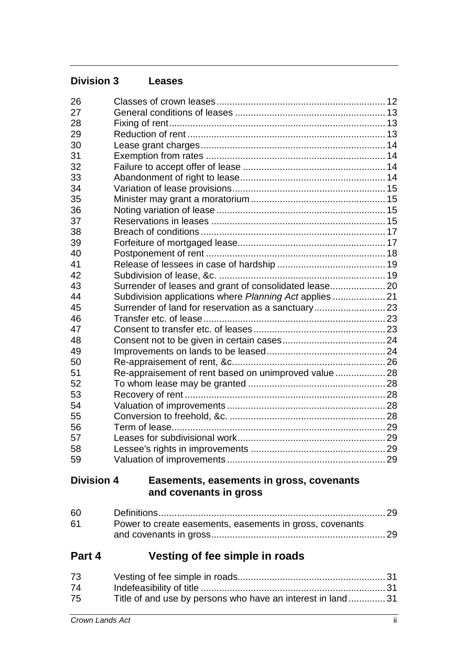| <b>Division 3</b> | <b>Leases</b>                                                      |  |
|-------------------|--------------------------------------------------------------------|--|
| 26                |                                                                    |  |
| 27                |                                                                    |  |
| 28                |                                                                    |  |
| 29                |                                                                    |  |
| 30                |                                                                    |  |
| 31                |                                                                    |  |
| 32                |                                                                    |  |
| 33                |                                                                    |  |
| 34                |                                                                    |  |
| 35                |                                                                    |  |
| 36                |                                                                    |  |
| 37                |                                                                    |  |
| 38                |                                                                    |  |
| 39                |                                                                    |  |
| 40                |                                                                    |  |
| 41                |                                                                    |  |
| 42                |                                                                    |  |
| 43                | Surrender of leases and grant of consolidated lease 20             |  |
| 44                | Subdivision applications where Planning Act applies  21            |  |
| 45                | Surrender of land for reservation as a sanctuary 23                |  |
| 46                |                                                                    |  |
| 47                |                                                                    |  |
| 48                |                                                                    |  |
| 49                |                                                                    |  |
| 50                |                                                                    |  |
| 51                | Re-appraisement of rent based on unimproved value  28              |  |
| 52                |                                                                    |  |
| 53                |                                                                    |  |
| 54                |                                                                    |  |
| 55                |                                                                    |  |
| 56                |                                                                    |  |
| 57                |                                                                    |  |
| 58                |                                                                    |  |
| 59                |                                                                    |  |
| <b>Division 4</b> | Easements, easements in gross, covenants<br>and covenants in gross |  |

| 60 |                                                          |  |
|----|----------------------------------------------------------|--|
| 61 | Power to create easements, easements in gross, covenants |  |
|    |                                                          |  |

# **Part 4 Vesting of fee simple in roads**

| 73 |                                                            |  |
|----|------------------------------------------------------------|--|
| 74 |                                                            |  |
| 75 | Title of and use by persons who have an interest in land31 |  |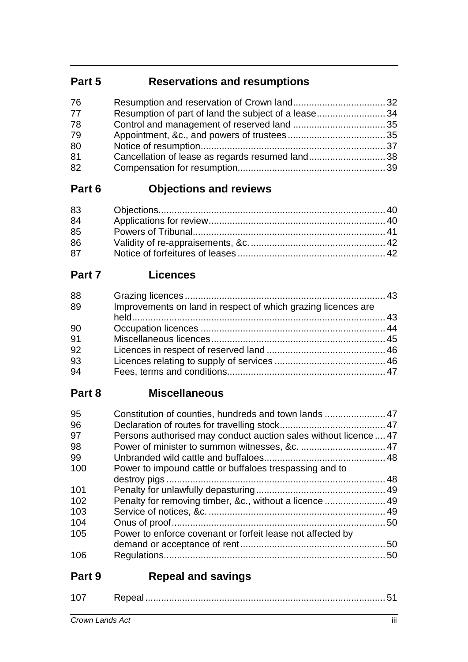# **Part 5 Reservations and resumptions**

| Resumption of part of land the subject of a lease34 |  |
|-----------------------------------------------------|--|
|                                                     |  |
|                                                     |  |
|                                                     |  |
| Cancellation of lease as regards resumed land38     |  |
|                                                     |  |
|                                                     |  |

# **Part 6 Objections and reviews**

| 83 |  |
|----|--|
| 84 |  |
| 85 |  |
| 86 |  |
| 87 |  |

# **Part 7 Licences**

| 88 |                                                               |  |
|----|---------------------------------------------------------------|--|
| 89 | Improvements on land in respect of which grazing licences are |  |
|    |                                                               |  |
| 90 |                                                               |  |
| 91 |                                                               |  |
| 92 |                                                               |  |
| 93 |                                                               |  |
| 94 |                                                               |  |

## **Part 8 Miscellaneous**

| 95  |                                                                  |  |
|-----|------------------------------------------------------------------|--|
| 96  |                                                                  |  |
| 97  | Persons authorised may conduct auction sales without licence  47 |  |
| 98  |                                                                  |  |
| 99  |                                                                  |  |
| 100 | Power to impound cattle or buffaloes trespassing and to          |  |
|     |                                                                  |  |
| 101 |                                                                  |  |
| 102 | Penalty for removing timber, &c., without a licence  49          |  |
| 103 |                                                                  |  |
| 104 |                                                                  |  |
| 105 | Power to enforce covenant or forfeit lease not affected by       |  |
|     |                                                                  |  |
| 106 |                                                                  |  |
|     |                                                                  |  |

# **Part 9 Repeal and savings**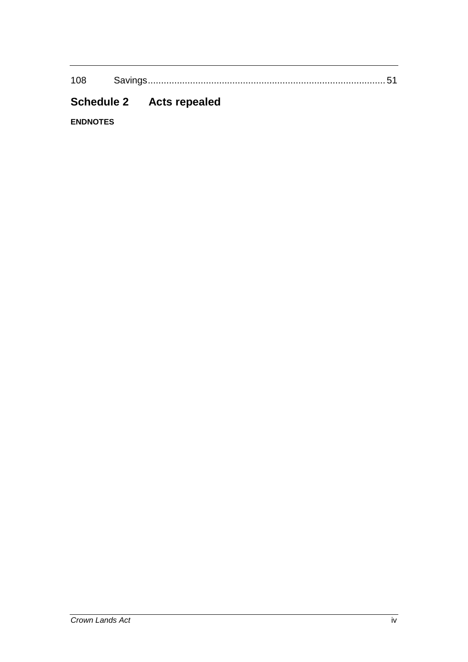108 Savings.......................................................................................... 51

# **Schedule 2 Acts repealed**

**ENDNOTES**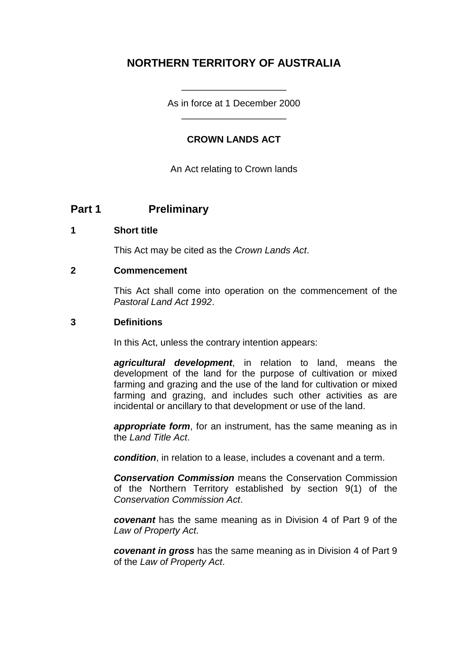## **NORTHERN TERRITORY OF AUSTRALIA**

As in force at 1 December 2000 \_\_\_\_\_\_\_\_\_\_\_\_\_\_\_\_\_\_\_\_

\_\_\_\_\_\_\_\_\_\_\_\_\_\_\_\_\_\_\_\_

#### **CROWN LANDS ACT**

An Act relating to Crown lands

## **Part 1 Preliminary**

#### **1 Short title**

This Act may be cited as the *Crown Lands Act*.

#### **2 Commencement**

This Act shall come into operation on the commencement of the *Pastoral Land Act 1992*.

#### **3 Definitions**

In this Act, unless the contrary intention appears:

*agricultural development*, in relation to land, means the development of the land for the purpose of cultivation or mixed farming and grazing and the use of the land for cultivation or mixed farming and grazing, and includes such other activities as are incidental or ancillary to that development or use of the land.

*appropriate form*, for an instrument, has the same meaning as in the *Land Title Act*.

*condition*, in relation to a lease, includes a covenant and a term.

*Conservation Commission* means the Conservation Commission of the Northern Territory established by section 9(1) of the *Conservation Commission Act*.

*covenant* has the same meaning as in Division 4 of Part 9 of the *Law of Property Act*.

*covenant in gross* has the same meaning as in Division 4 of Part 9 of the *Law of Property Act*.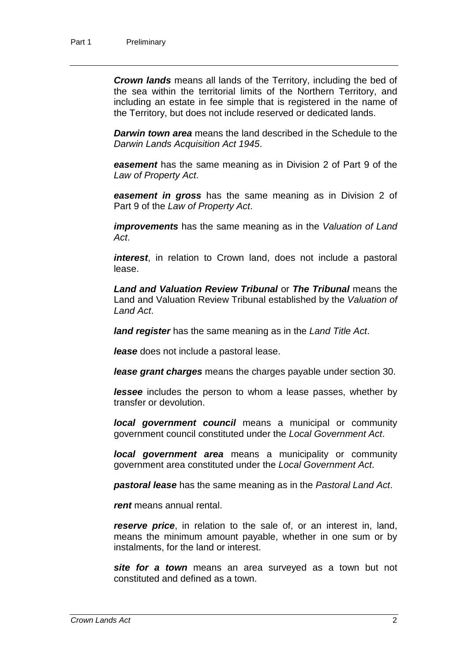*Crown lands* means all lands of the Territory, including the bed of the sea within the territorial limits of the Northern Territory, and including an estate in fee simple that is registered in the name of the Territory, but does not include reserved or dedicated lands.

*Darwin town area* means the land described in the Schedule to the *Darwin Lands Acquisition Act 1945*.

*easement* has the same meaning as in Division 2 of Part 9 of the *Law of Property Act*.

*easement in gross* has the same meaning as in Division 2 of Part 9 of the *Law of Property Act*.

*improvements* has the same meaning as in the *Valuation of Land Act*.

*interest*, in relation to Crown land, does not include a pastoral lease.

*Land and Valuation Review Tribunal* or *The Tribunal* means the Land and Valuation Review Tribunal established by the *Valuation of Land Act*.

*land register* has the same meaning as in the *Land Title Act*.

*lease* does not include a pastoral lease.

*lease grant charges* means the charges payable under section 30.

*lessee* includes the person to whom a lease passes, whether by transfer or devolution.

*local government council* means a municipal or community government council constituted under the *Local Government Act*.

*local government area* means a municipality or community government area constituted under the *Local Government Act*.

*pastoral lease* has the same meaning as in the *Pastoral Land Act*.

*rent* means annual rental.

*reserve price*, in relation to the sale of, or an interest in, land, means the minimum amount payable, whether in one sum or by instalments, for the land or interest.

*site for a town* means an area surveyed as a town but not constituted and defined as a town.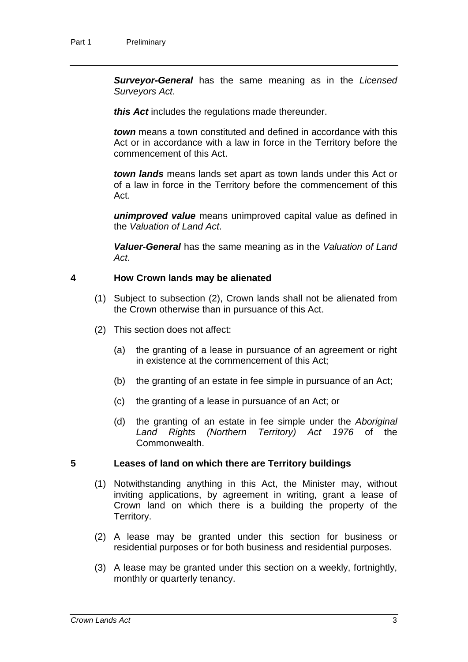*Surveyor-General* has the same meaning as in the *Licensed Surveyors Act*.

*this Act* includes the regulations made thereunder.

*town* means a town constituted and defined in accordance with this Act or in accordance with a law in force in the Territory before the commencement of this Act.

*town lands* means lands set apart as town lands under this Act or of a law in force in the Territory before the commencement of this Act.

*unimproved value* means unimproved capital value as defined in the *Valuation of Land Act*.

*Valuer-General* has the same meaning as in the *Valuation of Land Act*.

#### **4 How Crown lands may be alienated**

- (1) Subject to subsection (2), Crown lands shall not be alienated from the Crown otherwise than in pursuance of this Act.
- (2) This section does not affect:
	- (a) the granting of a lease in pursuance of an agreement or right in existence at the commencement of this Act;
	- (b) the granting of an estate in fee simple in pursuance of an Act;
	- (c) the granting of a lease in pursuance of an Act; or
	- (d) the granting of an estate in fee simple under the *Aboriginal Land Rights (Northern Territory) Act 1976* of the Commonwealth.

#### **5 Leases of land on which there are Territory buildings**

- (1) Notwithstanding anything in this Act, the Minister may, without inviting applications, by agreement in writing, grant a lease of Crown land on which there is a building the property of the Territory.
- (2) A lease may be granted under this section for business or residential purposes or for both business and residential purposes.
- (3) A lease may be granted under this section on a weekly, fortnightly, monthly or quarterly tenancy.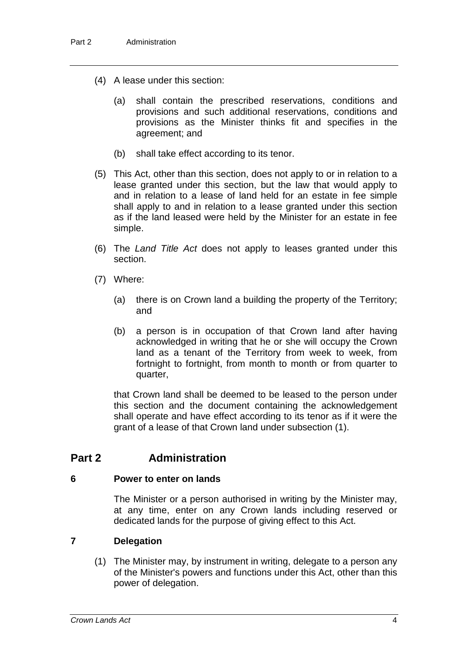- (4) A lease under this section:
	- (a) shall contain the prescribed reservations, conditions and provisions and such additional reservations, conditions and provisions as the Minister thinks fit and specifies in the agreement; and
	- (b) shall take effect according to its tenor.
- (5) This Act, other than this section, does not apply to or in relation to a lease granted under this section, but the law that would apply to and in relation to a lease of land held for an estate in fee simple shall apply to and in relation to a lease granted under this section as if the land leased were held by the Minister for an estate in fee simple.
- (6) The *Land Title Act* does not apply to leases granted under this section.
- (7) Where:
	- (a) there is on Crown land a building the property of the Territory; and
	- (b) a person is in occupation of that Crown land after having acknowledged in writing that he or she will occupy the Crown land as a tenant of the Territory from week to week, from fortnight to fortnight, from month to month or from quarter to quarter,

that Crown land shall be deemed to be leased to the person under this section and the document containing the acknowledgement shall operate and have effect according to its tenor as if it were the grant of a lease of that Crown land under subsection (1).

## **Part 2 Administration**

#### **6 Power to enter on lands**

The Minister or a person authorised in writing by the Minister may, at any time, enter on any Crown lands including reserved or dedicated lands for the purpose of giving effect to this Act.

#### **7 Delegation**

(1) The Minister may, by instrument in writing, delegate to a person any of the Minister's powers and functions under this Act, other than this power of delegation.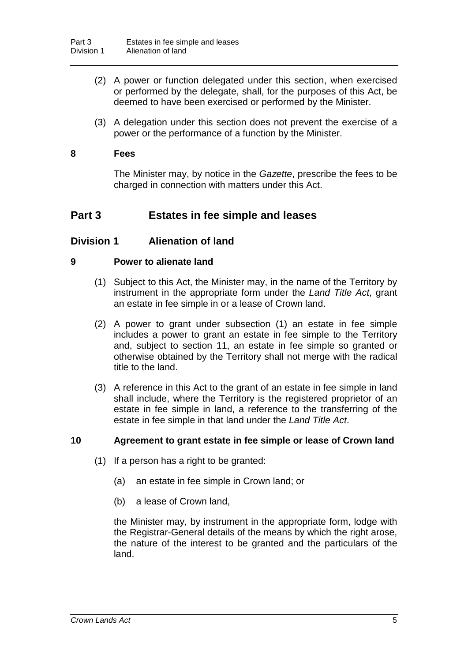- (2) A power or function delegated under this section, when exercised or performed by the delegate, shall, for the purposes of this Act, be deemed to have been exercised or performed by the Minister.
- (3) A delegation under this section does not prevent the exercise of a power or the performance of a function by the Minister.

#### **8 Fees**

The Minister may, by notice in the *Gazette*, prescribe the fees to be charged in connection with matters under this Act.

## **Part 3 Estates in fee simple and leases**

#### **Division 1 Alienation of land**

#### **9 Power to alienate land**

- (1) Subject to this Act, the Minister may, in the name of the Territory by instrument in the appropriate form under the *Land Title Act*, grant an estate in fee simple in or a lease of Crown land.
- (2) A power to grant under subsection (1) an estate in fee simple includes a power to grant an estate in fee simple to the Territory and, subject to section 11, an estate in fee simple so granted or otherwise obtained by the Territory shall not merge with the radical title to the land.
- (3) A reference in this Act to the grant of an estate in fee simple in land shall include, where the Territory is the registered proprietor of an estate in fee simple in land, a reference to the transferring of the estate in fee simple in that land under the *Land Title Act*.

#### **10 Agreement to grant estate in fee simple or lease of Crown land**

- (1) If a person has a right to be granted:
	- (a) an estate in fee simple in Crown land; or
	- (b) a lease of Crown land,

the Minister may, by instrument in the appropriate form, lodge with the Registrar-General details of the means by which the right arose, the nature of the interest to be granted and the particulars of the land.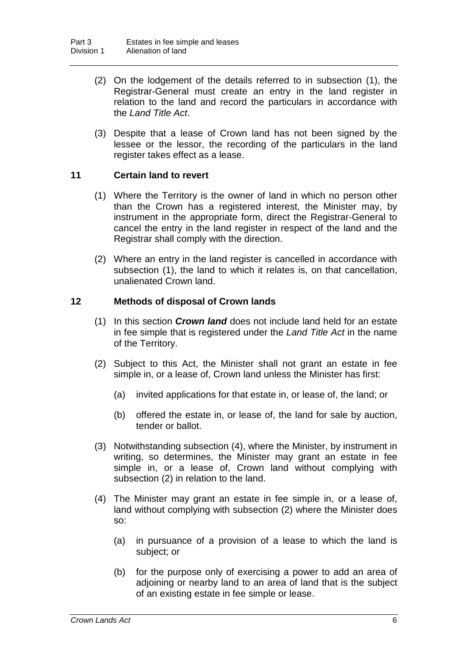- (2) On the lodgement of the details referred to in subsection (1), the Registrar-General must create an entry in the land register in relation to the land and record the particulars in accordance with the *Land Title Act*.
- (3) Despite that a lease of Crown land has not been signed by the lessee or the lessor, the recording of the particulars in the land register takes effect as a lease.

#### **11 Certain land to revert**

- (1) Where the Territory is the owner of land in which no person other than the Crown has a registered interest, the Minister may, by instrument in the appropriate form, direct the Registrar-General to cancel the entry in the land register in respect of the land and the Registrar shall comply with the direction.
- (2) Where an entry in the land register is cancelled in accordance with subsection (1), the land to which it relates is, on that cancellation, unalienated Crown land.

#### **12 Methods of disposal of Crown lands**

- (1) In this section *Crown land* does not include land held for an estate in fee simple that is registered under the *Land Title Act* in the name of the Territory.
- (2) Subject to this Act, the Minister shall not grant an estate in fee simple in, or a lease of, Crown land unless the Minister has first:
	- (a) invited applications for that estate in, or lease of, the land; or
	- (b) offered the estate in, or lease of, the land for sale by auction, tender or ballot.
- (3) Notwithstanding subsection (4), where the Minister, by instrument in writing, so determines, the Minister may grant an estate in fee simple in, or a lease of, Crown land without complying with subsection (2) in relation to the land.
- (4) The Minister may grant an estate in fee simple in, or a lease of, land without complying with subsection (2) where the Minister does so:
	- (a) in pursuance of a provision of a lease to which the land is subject; or
	- (b) for the purpose only of exercising a power to add an area of adjoining or nearby land to an area of land that is the subject of an existing estate in fee simple or lease.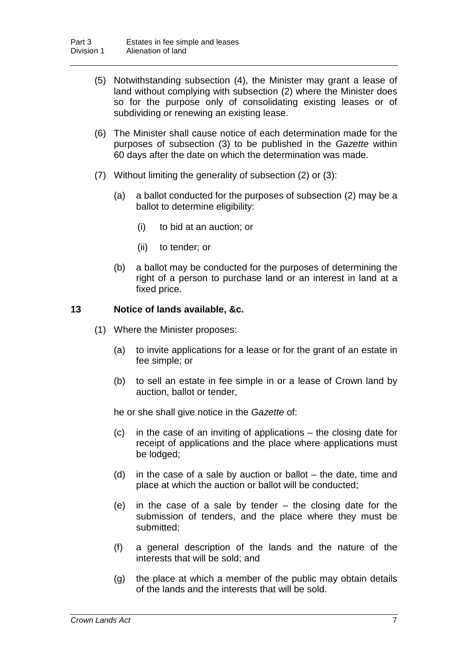- (5) Notwithstanding subsection (4), the Minister may grant a lease of land without complying with subsection (2) where the Minister does so for the purpose only of consolidating existing leases or of subdividing or renewing an existing lease.
- (6) The Minister shall cause notice of each determination made for the purposes of subsection (3) to be published in the *Gazette* within 60 days after the date on which the determination was made.
- (7) Without limiting the generality of subsection (2) or (3):
	- (a) a ballot conducted for the purposes of subsection (2) may be a ballot to determine eligibility:
		- (i) to bid at an auction; or
		- (ii) to tender; or
	- (b) a ballot may be conducted for the purposes of determining the right of a person to purchase land or an interest in land at a fixed price.

#### **13 Notice of lands available, &c.**

- (1) Where the Minister proposes:
	- (a) to invite applications for a lease or for the grant of an estate in fee simple; or
	- (b) to sell an estate in fee simple in or a lease of Crown land by auction, ballot or tender,

he or she shall give notice in the *Gazette* of:

- (c) in the case of an inviting of applications the closing date for receipt of applications and the place where applications must be lodged;
- (d) in the case of a sale by auction or ballot the date, time and place at which the auction or ballot will be conducted;
- (e) in the case of a sale by tender the closing date for the submission of tenders, and the place where they must be submitted;
- (f) a general description of the lands and the nature of the interests that will be sold; and
- (g) the place at which a member of the public may obtain details of the lands and the interests that will be sold.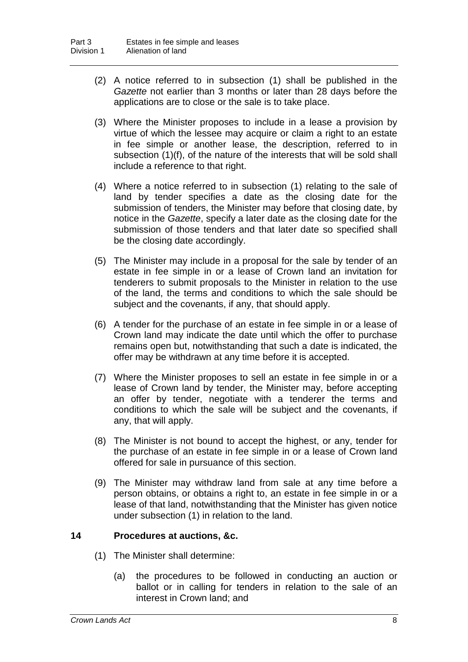- (2) A notice referred to in subsection (1) shall be published in the *Gazette* not earlier than 3 months or later than 28 days before the applications are to close or the sale is to take place.
- (3) Where the Minister proposes to include in a lease a provision by virtue of which the lessee may acquire or claim a right to an estate in fee simple or another lease, the description, referred to in subsection (1)(f), of the nature of the interests that will be sold shall include a reference to that right.
- (4) Where a notice referred to in subsection (1) relating to the sale of land by tender specifies a date as the closing date for the submission of tenders, the Minister may before that closing date, by notice in the *Gazette*, specify a later date as the closing date for the submission of those tenders and that later date so specified shall be the closing date accordingly.
- (5) The Minister may include in a proposal for the sale by tender of an estate in fee simple in or a lease of Crown land an invitation for tenderers to submit proposals to the Minister in relation to the use of the land, the terms and conditions to which the sale should be subject and the covenants, if any, that should apply.
- (6) A tender for the purchase of an estate in fee simple in or a lease of Crown land may indicate the date until which the offer to purchase remains open but, notwithstanding that such a date is indicated, the offer may be withdrawn at any time before it is accepted.
- (7) Where the Minister proposes to sell an estate in fee simple in or a lease of Crown land by tender, the Minister may, before accepting an offer by tender, negotiate with a tenderer the terms and conditions to which the sale will be subject and the covenants, if any, that will apply.
- (8) The Minister is not bound to accept the highest, or any, tender for the purchase of an estate in fee simple in or a lease of Crown land offered for sale in pursuance of this section.
- (9) The Minister may withdraw land from sale at any time before a person obtains, or obtains a right to, an estate in fee simple in or a lease of that land, notwithstanding that the Minister has given notice under subsection (1) in relation to the land.

#### **14 Procedures at auctions, &c.**

- (1) The Minister shall determine:
	- (a) the procedures to be followed in conducting an auction or ballot or in calling for tenders in relation to the sale of an interest in Crown land; and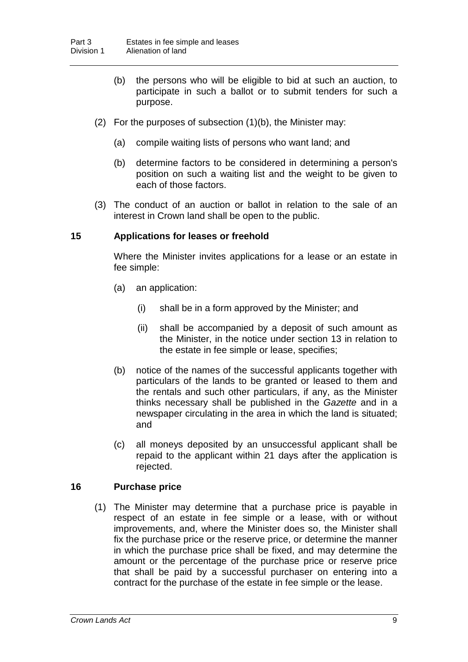- (b) the persons who will be eligible to bid at such an auction, to participate in such a ballot or to submit tenders for such a purpose.
- (2) For the purposes of subsection (1)(b), the Minister may:
	- (a) compile waiting lists of persons who want land; and
	- (b) determine factors to be considered in determining a person's position on such a waiting list and the weight to be given to each of those factors.
- (3) The conduct of an auction or ballot in relation to the sale of an interest in Crown land shall be open to the public.

#### **15 Applications for leases or freehold**

Where the Minister invites applications for a lease or an estate in fee simple:

- (a) an application:
	- (i) shall be in a form approved by the Minister; and
	- (ii) shall be accompanied by a deposit of such amount as the Minister, in the notice under section 13 in relation to the estate in fee simple or lease, specifies;
- (b) notice of the names of the successful applicants together with particulars of the lands to be granted or leased to them and the rentals and such other particulars, if any, as the Minister thinks necessary shall be published in the *Gazette* and in a newspaper circulating in the area in which the land is situated; and
- (c) all moneys deposited by an unsuccessful applicant shall be repaid to the applicant within 21 days after the application is rejected.

#### **16 Purchase price**

(1) The Minister may determine that a purchase price is payable in respect of an estate in fee simple or a lease, with or without improvements, and, where the Minister does so, the Minister shall fix the purchase price or the reserve price, or determine the manner in which the purchase price shall be fixed, and may determine the amount or the percentage of the purchase price or reserve price that shall be paid by a successful purchaser on entering into a contract for the purchase of the estate in fee simple or the lease.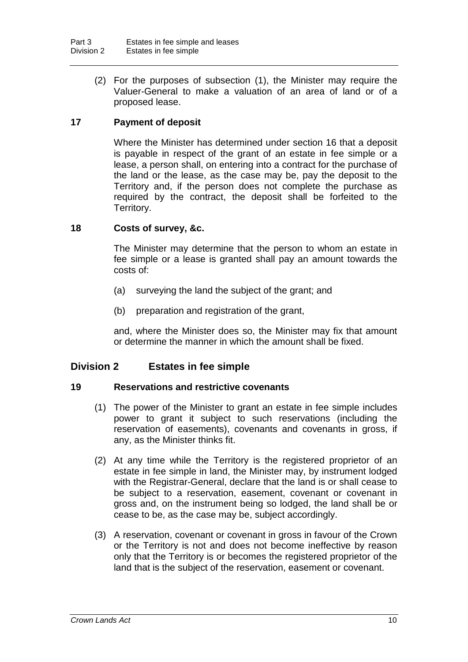(2) For the purposes of subsection (1), the Minister may require the Valuer-General to make a valuation of an area of land or of a proposed lease.

#### **17 Payment of deposit**

Where the Minister has determined under section 16 that a deposit is payable in respect of the grant of an estate in fee simple or a lease, a person shall, on entering into a contract for the purchase of the land or the lease, as the case may be, pay the deposit to the Territory and, if the person does not complete the purchase as required by the contract, the deposit shall be forfeited to the Territory.

#### **18 Costs of survey, &c.**

The Minister may determine that the person to whom an estate in fee simple or a lease is granted shall pay an amount towards the costs of:

- (a) surveying the land the subject of the grant; and
- (b) preparation and registration of the grant,

and, where the Minister does so, the Minister may fix that amount or determine the manner in which the amount shall be fixed.

#### **Division 2 Estates in fee simple**

#### **19 Reservations and restrictive covenants**

- (1) The power of the Minister to grant an estate in fee simple includes power to grant it subject to such reservations (including the reservation of easements), covenants and covenants in gross, if any, as the Minister thinks fit.
- (2) At any time while the Territory is the registered proprietor of an estate in fee simple in land, the Minister may, by instrument lodged with the Registrar-General, declare that the land is or shall cease to be subject to a reservation, easement, covenant or covenant in gross and, on the instrument being so lodged, the land shall be or cease to be, as the case may be, subject accordingly.
- (3) A reservation, covenant or covenant in gross in favour of the Crown or the Territory is not and does not become ineffective by reason only that the Territory is or becomes the registered proprietor of the land that is the subject of the reservation, easement or covenant.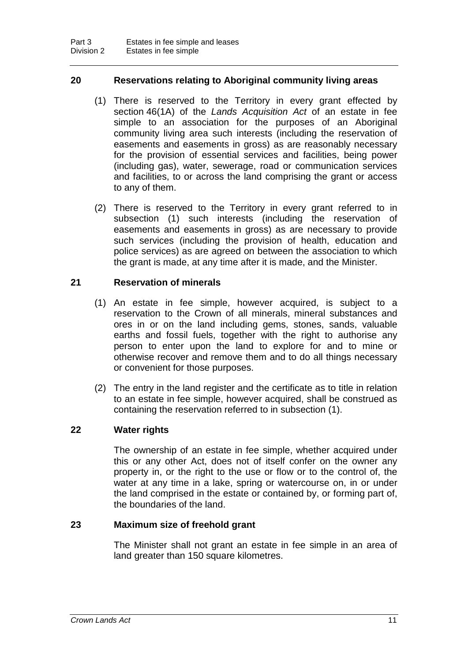#### **20 Reservations relating to Aboriginal community living areas**

- (1) There is reserved to the Territory in every grant effected by section 46(1A) of the *Lands Acquisition Act* of an estate in fee simple to an association for the purposes of an Aboriginal community living area such interests (including the reservation of easements and easements in gross) as are reasonably necessary for the provision of essential services and facilities, being power (including gas), water, sewerage, road or communication services and facilities, to or across the land comprising the grant or access to any of them.
- (2) There is reserved to the Territory in every grant referred to in subsection (1) such interests (including the reservation of easements and easements in gross) as are necessary to provide such services (including the provision of health, education and police services) as are agreed on between the association to which the grant is made, at any time after it is made, and the Minister.

#### **21 Reservation of minerals**

- (1) An estate in fee simple, however acquired, is subject to a reservation to the Crown of all minerals, mineral substances and ores in or on the land including gems, stones, sands, valuable earths and fossil fuels, together with the right to authorise any person to enter upon the land to explore for and to mine or otherwise recover and remove them and to do all things necessary or convenient for those purposes.
- (2) The entry in the land register and the certificate as to title in relation to an estate in fee simple, however acquired, shall be construed as containing the reservation referred to in subsection (1).

#### **22 Water rights**

The ownership of an estate in fee simple, whether acquired under this or any other Act, does not of itself confer on the owner any property in, or the right to the use or flow or to the control of, the water at any time in a lake, spring or watercourse on, in or under the land comprised in the estate or contained by, or forming part of, the boundaries of the land.

#### **23 Maximum size of freehold grant**

The Minister shall not grant an estate in fee simple in an area of land greater than 150 square kilometres.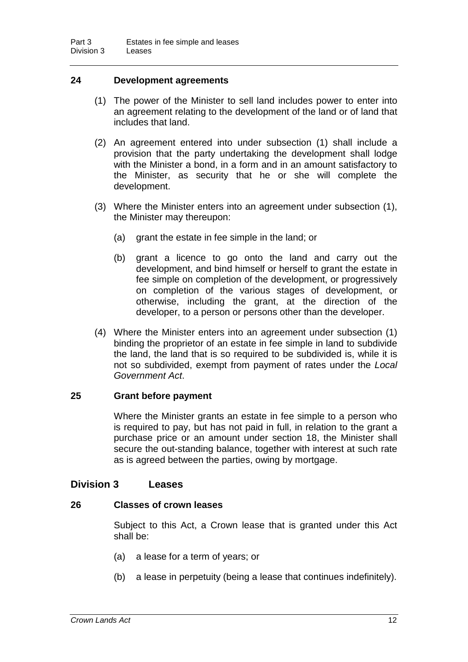#### **24 Development agreements**

- (1) The power of the Minister to sell land includes power to enter into an agreement relating to the development of the land or of land that includes that land.
- (2) An agreement entered into under subsection (1) shall include a provision that the party undertaking the development shall lodge with the Minister a bond, in a form and in an amount satisfactory to the Minister, as security that he or she will complete the development.
- (3) Where the Minister enters into an agreement under subsection (1), the Minister may thereupon:
	- (a) grant the estate in fee simple in the land; or
	- (b) grant a licence to go onto the land and carry out the development, and bind himself or herself to grant the estate in fee simple on completion of the development, or progressively on completion of the various stages of development, or otherwise, including the grant, at the direction of the developer, to a person or persons other than the developer.
- (4) Where the Minister enters into an agreement under subsection (1) binding the proprietor of an estate in fee simple in land to subdivide the land, the land that is so required to be subdivided is, while it is not so subdivided, exempt from payment of rates under the *Local Government Act*.

#### **25 Grant before payment**

Where the Minister grants an estate in fee simple to a person who is required to pay, but has not paid in full, in relation to the grant a purchase price or an amount under section 18, the Minister shall secure the out-standing balance, together with interest at such rate as is agreed between the parties, owing by mortgage.

#### **Division 3 Leases**

#### **26 Classes of crown leases**

Subject to this Act, a Crown lease that is granted under this Act shall be:

- (a) a lease for a term of years; or
- (b) a lease in perpetuity (being a lease that continues indefinitely).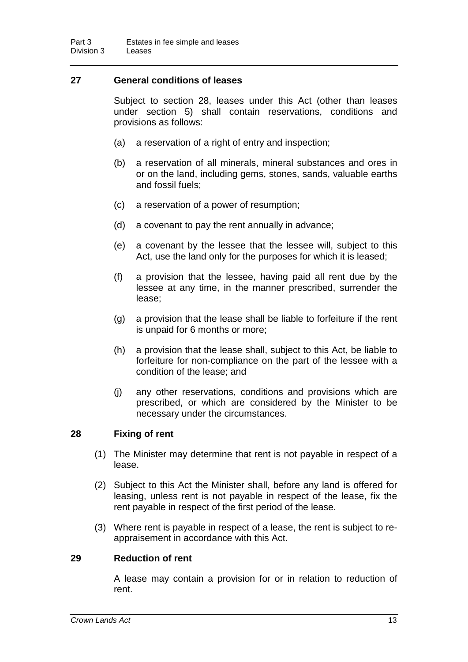#### **27 General conditions of leases**

Subject to section 28, leases under this Act (other than leases under section 5) shall contain reservations, conditions and provisions as follows:

- (a) a reservation of a right of entry and inspection;
- (b) a reservation of all minerals, mineral substances and ores in or on the land, including gems, stones, sands, valuable earths and fossil fuels;
- (c) a reservation of a power of resumption;
- (d) a covenant to pay the rent annually in advance;
- (e) a covenant by the lessee that the lessee will, subject to this Act, use the land only for the purposes for which it is leased;
- (f) a provision that the lessee, having paid all rent due by the lessee at any time, in the manner prescribed, surrender the lease;
- (g) a provision that the lease shall be liable to forfeiture if the rent is unpaid for 6 months or more;
- (h) a provision that the lease shall, subject to this Act, be liable to forfeiture for non-compliance on the part of the lessee with a condition of the lease; and
- (j) any other reservations, conditions and provisions which are prescribed, or which are considered by the Minister to be necessary under the circumstances.

#### **28 Fixing of rent**

- (1) The Minister may determine that rent is not payable in respect of a lease.
- (2) Subject to this Act the Minister shall, before any land is offered for leasing, unless rent is not payable in respect of the lease, fix the rent payable in respect of the first period of the lease.
- (3) Where rent is payable in respect of a lease, the rent is subject to reappraisement in accordance with this Act.

#### **29 Reduction of rent**

A lease may contain a provision for or in relation to reduction of rent.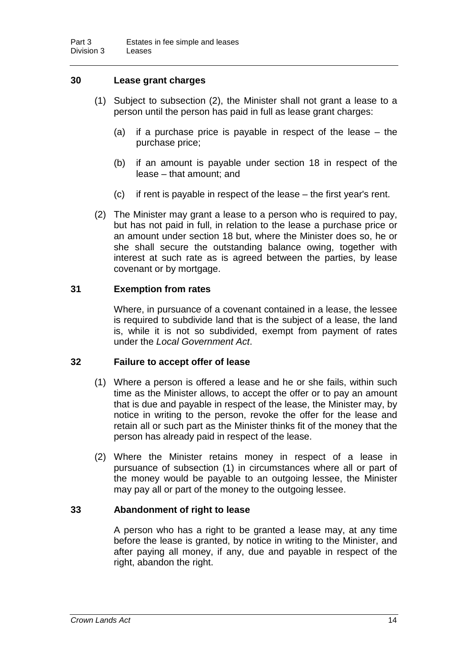#### **30 Lease grant charges**

- (1) Subject to subsection (2), the Minister shall not grant a lease to a person until the person has paid in full as lease grant charges:
	- (a) if a purchase price is payable in respect of the lease the purchase price;
	- (b) if an amount is payable under section 18 in respect of the lease – that amount; and
	- (c) if rent is payable in respect of the lease the first year's rent.
- (2) The Minister may grant a lease to a person who is required to pay, but has not paid in full, in relation to the lease a purchase price or an amount under section 18 but, where the Minister does so, he or she shall secure the outstanding balance owing, together with interest at such rate as is agreed between the parties, by lease covenant or by mortgage.

#### **31 Exemption from rates**

Where, in pursuance of a covenant contained in a lease, the lessee is required to subdivide land that is the subject of a lease, the land is, while it is not so subdivided, exempt from payment of rates under the *Local Government Act*.

#### **32 Failure to accept offer of lease**

- (1) Where a person is offered a lease and he or she fails, within such time as the Minister allows, to accept the offer or to pay an amount that is due and payable in respect of the lease, the Minister may, by notice in writing to the person, revoke the offer for the lease and retain all or such part as the Minister thinks fit of the money that the person has already paid in respect of the lease.
- (2) Where the Minister retains money in respect of a lease in pursuance of subsection (1) in circumstances where all or part of the money would be payable to an outgoing lessee, the Minister may pay all or part of the money to the outgoing lessee.

#### **33 Abandonment of right to lease**

A person who has a right to be granted a lease may, at any time before the lease is granted, by notice in writing to the Minister, and after paying all money, if any, due and payable in respect of the right, abandon the right.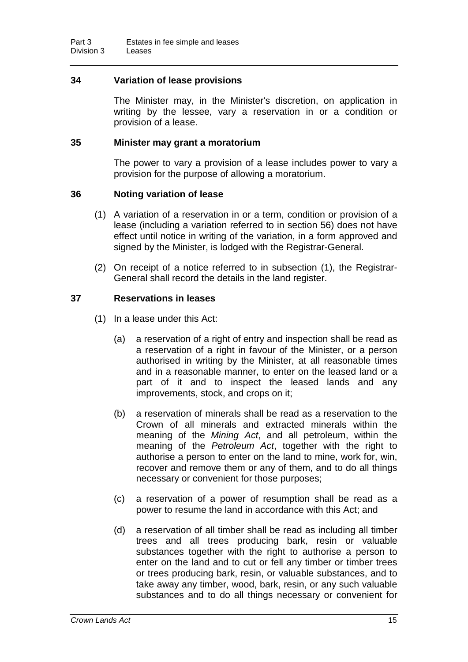#### **34 Variation of lease provisions**

The Minister may, in the Minister's discretion, on application in writing by the lessee, vary a reservation in or a condition or provision of a lease.

#### **35 Minister may grant a moratorium**

The power to vary a provision of a lease includes power to vary a provision for the purpose of allowing a moratorium.

#### **36 Noting variation of lease**

- (1) A variation of a reservation in or a term, condition or provision of a lease (including a variation referred to in section 56) does not have effect until notice in writing of the variation, in a form approved and signed by the Minister, is lodged with the Registrar-General.
- (2) On receipt of a notice referred to in subsection (1), the Registrar-General shall record the details in the land register.

#### **37 Reservations in leases**

- (1) In a lease under this Act:
	- (a) a reservation of a right of entry and inspection shall be read as a reservation of a right in favour of the Minister, or a person authorised in writing by the Minister, at all reasonable times and in a reasonable manner, to enter on the leased land or a part of it and to inspect the leased lands and any improvements, stock, and crops on it;
	- (b) a reservation of minerals shall be read as a reservation to the Crown of all minerals and extracted minerals within the meaning of the *Mining Act*, and all petroleum, within the meaning of the *Petroleum Act*, together with the right to authorise a person to enter on the land to mine, work for, win, recover and remove them or any of them, and to do all things necessary or convenient for those purposes;
	- (c) a reservation of a power of resumption shall be read as a power to resume the land in accordance with this Act; and
	- (d) a reservation of all timber shall be read as including all timber trees and all trees producing bark, resin or valuable substances together with the right to authorise a person to enter on the land and to cut or fell any timber or timber trees or trees producing bark, resin, or valuable substances, and to take away any timber, wood, bark, resin, or any such valuable substances and to do all things necessary or convenient for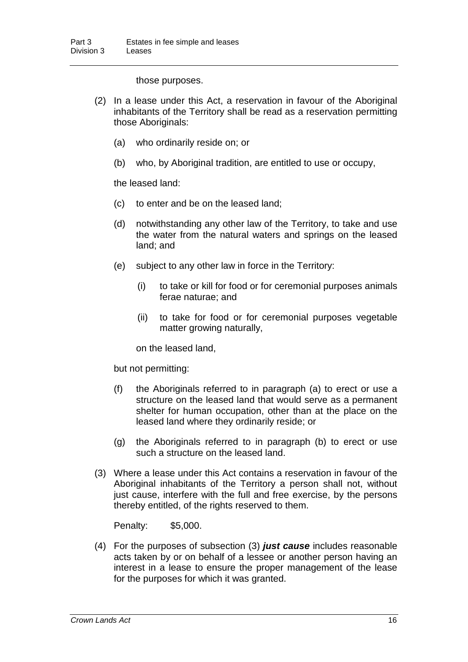those purposes.

- (2) In a lease under this Act, a reservation in favour of the Aboriginal inhabitants of the Territory shall be read as a reservation permitting those Aboriginals:
	- (a) who ordinarily reside on; or
	- (b) who, by Aboriginal tradition, are entitled to use or occupy,

the leased land:

- (c) to enter and be on the leased land;
- (d) notwithstanding any other law of the Territory, to take and use the water from the natural waters and springs on the leased land; and
- (e) subject to any other law in force in the Territory:
	- (i) to take or kill for food or for ceremonial purposes animals ferae naturae; and
	- (ii) to take for food or for ceremonial purposes vegetable matter growing naturally,

on the leased land,

but not permitting:

- (f) the Aboriginals referred to in paragraph (a) to erect or use a structure on the leased land that would serve as a permanent shelter for human occupation, other than at the place on the leased land where they ordinarily reside; or
- (g) the Aboriginals referred to in paragraph (b) to erect or use such a structure on the leased land.
- (3) Where a lease under this Act contains a reservation in favour of the Aboriginal inhabitants of the Territory a person shall not, without just cause, interfere with the full and free exercise, by the persons thereby entitled, of the rights reserved to them.

Penalty: \$5,000.

(4) For the purposes of subsection (3) *just cause* includes reasonable acts taken by or on behalf of a lessee or another person having an interest in a lease to ensure the proper management of the lease for the purposes for which it was granted.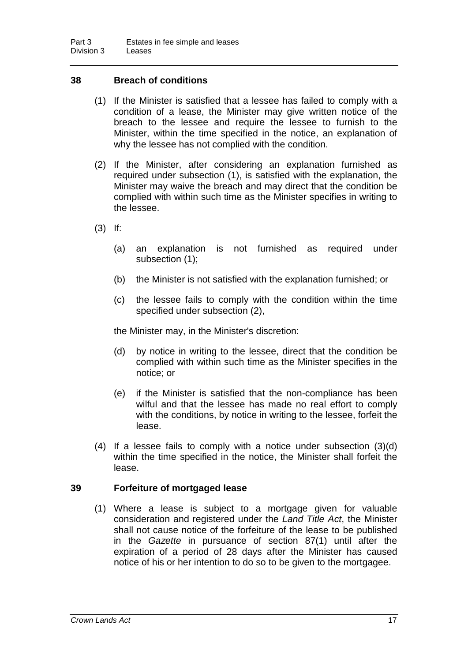#### **38 Breach of conditions**

- (1) If the Minister is satisfied that a lessee has failed to comply with a condition of a lease, the Minister may give written notice of the breach to the lessee and require the lessee to furnish to the Minister, within the time specified in the notice, an explanation of why the lessee has not complied with the condition.
- (2) If the Minister, after considering an explanation furnished as required under subsection (1), is satisfied with the explanation, the Minister may waive the breach and may direct that the condition be complied with within such time as the Minister specifies in writing to the lessee.
- (3) If:
	- (a) an explanation is not furnished as required under subsection (1);
	- (b) the Minister is not satisfied with the explanation furnished; or
	- (c) the lessee fails to comply with the condition within the time specified under subsection (2),

the Minister may, in the Minister's discretion:

- (d) by notice in writing to the lessee, direct that the condition be complied with within such time as the Minister specifies in the notice; or
- (e) if the Minister is satisfied that the non-compliance has been wilful and that the lessee has made no real effort to comply with the conditions, by notice in writing to the lessee, forfeit the lease.
- (4) If a lessee fails to comply with a notice under subsection (3)(d) within the time specified in the notice, the Minister shall forfeit the lease.

#### **39 Forfeiture of mortgaged lease**

(1) Where a lease is subject to a mortgage given for valuable consideration and registered under the *Land Title Act*, the Minister shall not cause notice of the forfeiture of the lease to be published in the *Gazette* in pursuance of section 87(1) until after the expiration of a period of 28 days after the Minister has caused notice of his or her intention to do so to be given to the mortgagee.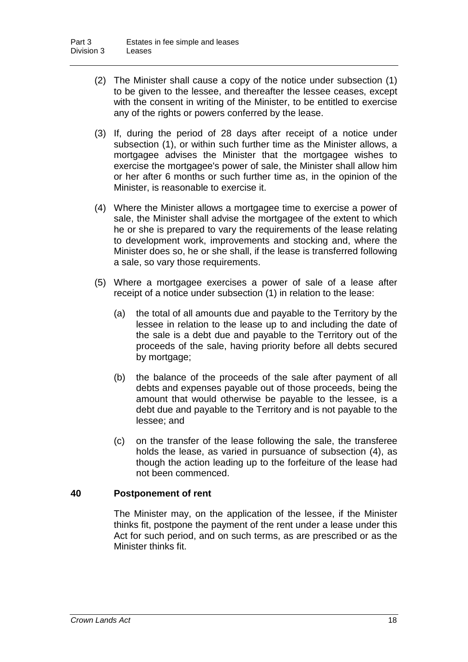- (2) The Minister shall cause a copy of the notice under subsection (1) to be given to the lessee, and thereafter the lessee ceases, except with the consent in writing of the Minister, to be entitled to exercise any of the rights or powers conferred by the lease.
- (3) If, during the period of 28 days after receipt of a notice under subsection (1), or within such further time as the Minister allows, a mortgagee advises the Minister that the mortgagee wishes to exercise the mortgagee's power of sale, the Minister shall allow him or her after 6 months or such further time as, in the opinion of the Minister, is reasonable to exercise it.
- (4) Where the Minister allows a mortgagee time to exercise a power of sale, the Minister shall advise the mortgagee of the extent to which he or she is prepared to vary the requirements of the lease relating to development work, improvements and stocking and, where the Minister does so, he or she shall, if the lease is transferred following a sale, so vary those requirements.
- (5) Where a mortgagee exercises a power of sale of a lease after receipt of a notice under subsection (1) in relation to the lease:
	- (a) the total of all amounts due and payable to the Territory by the lessee in relation to the lease up to and including the date of the sale is a debt due and payable to the Territory out of the proceeds of the sale, having priority before all debts secured by mortgage;
	- (b) the balance of the proceeds of the sale after payment of all debts and expenses payable out of those proceeds, being the amount that would otherwise be payable to the lessee, is a debt due and payable to the Territory and is not payable to the lessee; and
	- (c) on the transfer of the lease following the sale, the transferee holds the lease, as varied in pursuance of subsection (4), as though the action leading up to the forfeiture of the lease had not been commenced.

#### **40 Postponement of rent**

The Minister may, on the application of the lessee, if the Minister thinks fit, postpone the payment of the rent under a lease under this Act for such period, and on such terms, as are prescribed or as the Minister thinks fit.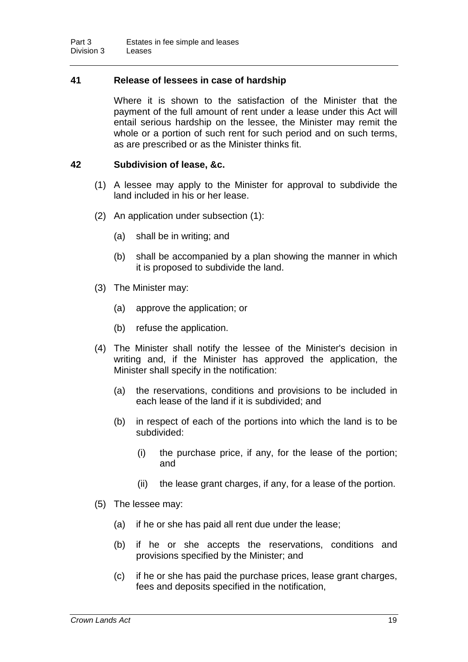#### **41 Release of lessees in case of hardship**

Where it is shown to the satisfaction of the Minister that the payment of the full amount of rent under a lease under this Act will entail serious hardship on the lessee, the Minister may remit the whole or a portion of such rent for such period and on such terms, as are prescribed or as the Minister thinks fit.

#### **42 Subdivision of lease, &c.**

- (1) A lessee may apply to the Minister for approval to subdivide the land included in his or her lease.
- (2) An application under subsection (1):
	- (a) shall be in writing; and
	- (b) shall be accompanied by a plan showing the manner in which it is proposed to subdivide the land.
- (3) The Minister may:
	- (a) approve the application; or
	- (b) refuse the application.
- (4) The Minister shall notify the lessee of the Minister's decision in writing and, if the Minister has approved the application, the Minister shall specify in the notification:
	- (a) the reservations, conditions and provisions to be included in each lease of the land if it is subdivided; and
	- (b) in respect of each of the portions into which the land is to be subdivided:
		- (i) the purchase price, if any, for the lease of the portion; and
		- (ii) the lease grant charges, if any, for a lease of the portion.
- (5) The lessee may:
	- (a) if he or she has paid all rent due under the lease;
	- (b) if he or she accepts the reservations, conditions and provisions specified by the Minister; and
	- (c) if he or she has paid the purchase prices, lease grant charges, fees and deposits specified in the notification,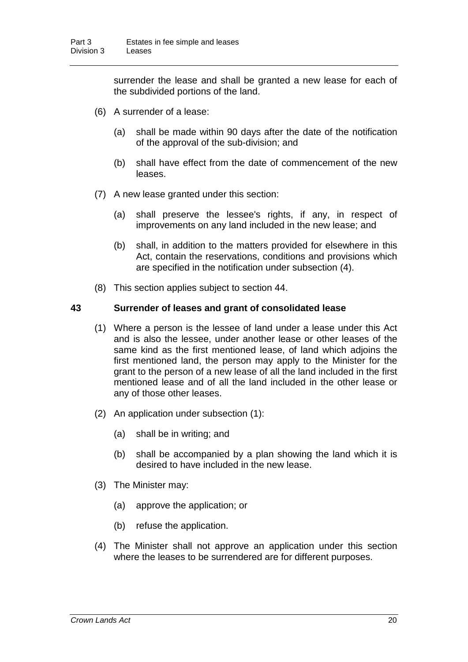surrender the lease and shall be granted a new lease for each of the subdivided portions of the land.

- (6) A surrender of a lease:
	- (a) shall be made within 90 days after the date of the notification of the approval of the sub-division; and
	- (b) shall have effect from the date of commencement of the new leases.
- (7) A new lease granted under this section:
	- (a) shall preserve the lessee's rights, if any, in respect of improvements on any land included in the new lease; and
	- (b) shall, in addition to the matters provided for elsewhere in this Act, contain the reservations, conditions and provisions which are specified in the notification under subsection (4).
- (8) This section applies subject to section 44.

#### **43 Surrender of leases and grant of consolidated lease**

- (1) Where a person is the lessee of land under a lease under this Act and is also the lessee, under another lease or other leases of the same kind as the first mentioned lease, of land which adjoins the first mentioned land, the person may apply to the Minister for the grant to the person of a new lease of all the land included in the first mentioned lease and of all the land included in the other lease or any of those other leases.
- (2) An application under subsection (1):
	- (a) shall be in writing; and
	- (b) shall be accompanied by a plan showing the land which it is desired to have included in the new lease.
- (3) The Minister may:
	- (a) approve the application; or
	- (b) refuse the application.
- (4) The Minister shall not approve an application under this section where the leases to be surrendered are for different purposes.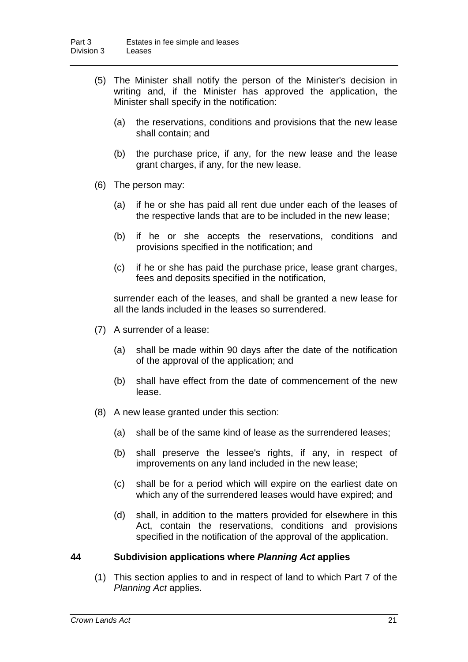- (5) The Minister shall notify the person of the Minister's decision in writing and, if the Minister has approved the application, the Minister shall specify in the notification:
	- (a) the reservations, conditions and provisions that the new lease shall contain; and
	- (b) the purchase price, if any, for the new lease and the lease grant charges, if any, for the new lease.
- (6) The person may:
	- (a) if he or she has paid all rent due under each of the leases of the respective lands that are to be included in the new lease;
	- (b) if he or she accepts the reservations, conditions and provisions specified in the notification; and
	- (c) if he or she has paid the purchase price, lease grant charges, fees and deposits specified in the notification,

surrender each of the leases, and shall be granted a new lease for all the lands included in the leases so surrendered.

- (7) A surrender of a lease:
	- (a) shall be made within 90 days after the date of the notification of the approval of the application; and
	- (b) shall have effect from the date of commencement of the new lease.
- (8) A new lease granted under this section:
	- (a) shall be of the same kind of lease as the surrendered leases;
	- (b) shall preserve the lessee's rights, if any, in respect of improvements on any land included in the new lease;
	- (c) shall be for a period which will expire on the earliest date on which any of the surrendered leases would have expired; and
	- (d) shall, in addition to the matters provided for elsewhere in this Act, contain the reservations, conditions and provisions specified in the notification of the approval of the application.

#### **44 Subdivision applications where** *Planning Act* **applies**

(1) This section applies to and in respect of land to which Part 7 of the *Planning Act* applies.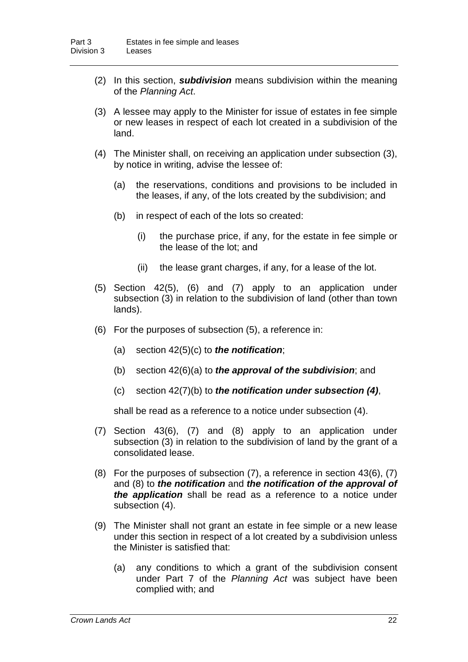- (2) In this section, *subdivision* means subdivision within the meaning of the *Planning Act*.
- (3) A lessee may apply to the Minister for issue of estates in fee simple or new leases in respect of each lot created in a subdivision of the land.
- (4) The Minister shall, on receiving an application under subsection (3), by notice in writing, advise the lessee of:
	- (a) the reservations, conditions and provisions to be included in the leases, if any, of the lots created by the subdivision; and
	- (b) in respect of each of the lots so created:
		- (i) the purchase price, if any, for the estate in fee simple or the lease of the lot; and
		- (ii) the lease grant charges, if any, for a lease of the lot.
- (5) Section 42(5), (6) and (7) apply to an application under subsection (3) in relation to the subdivision of land (other than town lands).
- (6) For the purposes of subsection (5), a reference in:
	- (a) section 42(5)(c) to *the notification*;
	- (b) section 42(6)(a) to *the approval of the subdivision*; and
	- (c) section 42(7)(b) to *the notification under subsection (4)*,

shall be read as a reference to a notice under subsection (4).

- (7) Section 43(6), (7) and (8) apply to an application under subsection (3) in relation to the subdivision of land by the grant of a consolidated lease.
- (8) For the purposes of subsection (7), a reference in section 43(6), (7) and (8) to *the notification* and *the notification of the approval of the application* shall be read as a reference to a notice under subsection (4).
- (9) The Minister shall not grant an estate in fee simple or a new lease under this section in respect of a lot created by a subdivision unless the Minister is satisfied that:
	- (a) any conditions to which a grant of the subdivision consent under Part 7 of the *Planning Act* was subject have been complied with; and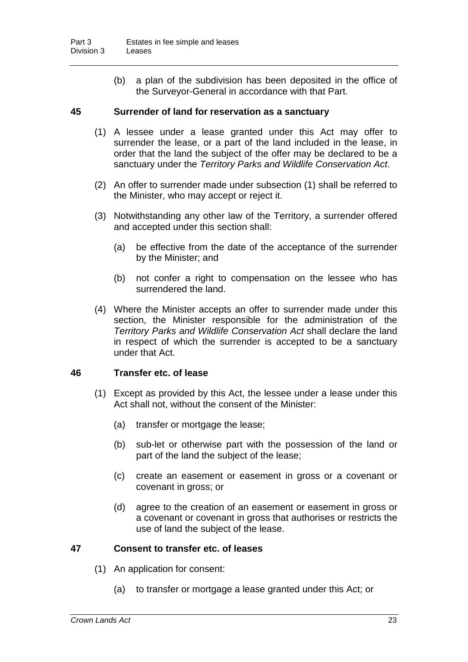(b) a plan of the subdivision has been deposited in the office of the Surveyor-General in accordance with that Part.

#### **45 Surrender of land for reservation as a sanctuary**

- (1) A lessee under a lease granted under this Act may offer to surrender the lease, or a part of the land included in the lease, in order that the land the subject of the offer may be declared to be a sanctuary under the *Territory Parks and Wildlife Conservation Act*.
- (2) An offer to surrender made under subsection (1) shall be referred to the Minister, who may accept or reject it.
- (3) Notwithstanding any other law of the Territory, a surrender offered and accepted under this section shall:
	- (a) be effective from the date of the acceptance of the surrender by the Minister; and
	- (b) not confer a right to compensation on the lessee who has surrendered the land.
- (4) Where the Minister accepts an offer to surrender made under this section, the Minister responsible for the administration of the *Territory Parks and Wildlife Conservation Act* shall declare the land in respect of which the surrender is accepted to be a sanctuary under that Act.

#### **46 Transfer etc. of lease**

- (1) Except as provided by this Act, the lessee under a lease under this Act shall not, without the consent of the Minister:
	- (a) transfer or mortgage the lease;
	- (b) sub-let or otherwise part with the possession of the land or part of the land the subject of the lease;
	- (c) create an easement or easement in gross or a covenant or covenant in gross; or
	- (d) agree to the creation of an easement or easement in gross or a covenant or covenant in gross that authorises or restricts the use of land the subject of the lease.

#### **47 Consent to transfer etc. of leases**

- (1) An application for consent:
	- (a) to transfer or mortgage a lease granted under this Act; or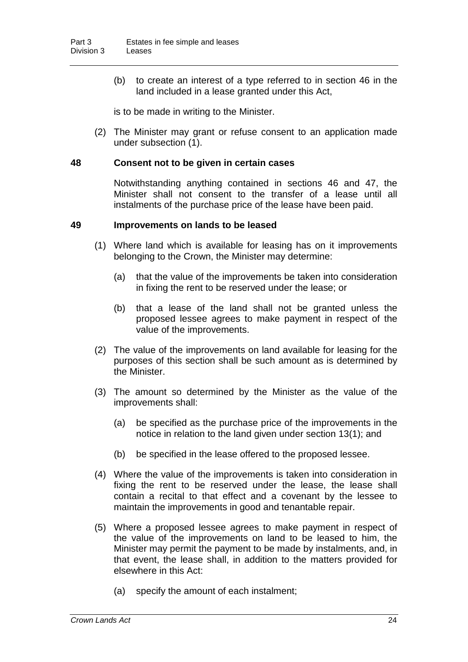(b) to create an interest of a type referred to in section 46 in the land included in a lease granted under this Act,

is to be made in writing to the Minister.

(2) The Minister may grant or refuse consent to an application made under subsection (1).

#### **48 Consent not to be given in certain cases**

Notwithstanding anything contained in sections 46 and 47, the Minister shall not consent to the transfer of a lease until all instalments of the purchase price of the lease have been paid.

#### **49 Improvements on lands to be leased**

- (1) Where land which is available for leasing has on it improvements belonging to the Crown, the Minister may determine:
	- (a) that the value of the improvements be taken into consideration in fixing the rent to be reserved under the lease; or
	- (b) that a lease of the land shall not be granted unless the proposed lessee agrees to make payment in respect of the value of the improvements.
- (2) The value of the improvements on land available for leasing for the purposes of this section shall be such amount as is determined by the Minister.
- (3) The amount so determined by the Minister as the value of the improvements shall:
	- (a) be specified as the purchase price of the improvements in the notice in relation to the land given under section 13(1); and
	- (b) be specified in the lease offered to the proposed lessee.
- (4) Where the value of the improvements is taken into consideration in fixing the rent to be reserved under the lease, the lease shall contain a recital to that effect and a covenant by the lessee to maintain the improvements in good and tenantable repair.
- (5) Where a proposed lessee agrees to make payment in respect of the value of the improvements on land to be leased to him, the Minister may permit the payment to be made by instalments, and, in that event, the lease shall, in addition to the matters provided for elsewhere in this Act:
	- (a) specify the amount of each instalment;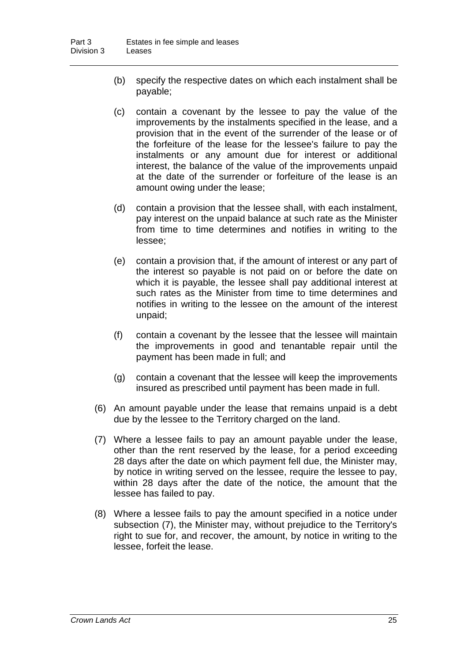- (b) specify the respective dates on which each instalment shall be payable;
- (c) contain a covenant by the lessee to pay the value of the improvements by the instalments specified in the lease, and a provision that in the event of the surrender of the lease or of the forfeiture of the lease for the lessee's failure to pay the instalments or any amount due for interest or additional interest, the balance of the value of the improvements unpaid at the date of the surrender or forfeiture of the lease is an amount owing under the lease;
- (d) contain a provision that the lessee shall, with each instalment, pay interest on the unpaid balance at such rate as the Minister from time to time determines and notifies in writing to the lessee;
- (e) contain a provision that, if the amount of interest or any part of the interest so payable is not paid on or before the date on which it is payable, the lessee shall pay additional interest at such rates as the Minister from time to time determines and notifies in writing to the lessee on the amount of the interest unpaid;
- (f) contain a covenant by the lessee that the lessee will maintain the improvements in good and tenantable repair until the payment has been made in full; and
- (g) contain a covenant that the lessee will keep the improvements insured as prescribed until payment has been made in full.
- (6) An amount payable under the lease that remains unpaid is a debt due by the lessee to the Territory charged on the land.
- (7) Where a lessee fails to pay an amount payable under the lease, other than the rent reserved by the lease, for a period exceeding 28 days after the date on which payment fell due, the Minister may, by notice in writing served on the lessee, require the lessee to pay, within 28 days after the date of the notice, the amount that the lessee has failed to pay.
- (8) Where a lessee fails to pay the amount specified in a notice under subsection (7), the Minister may, without prejudice to the Territory's right to sue for, and recover, the amount, by notice in writing to the lessee, forfeit the lease.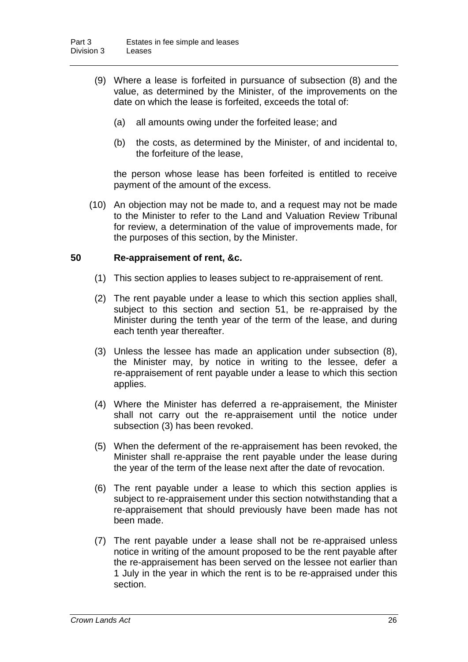- (9) Where a lease is forfeited in pursuance of subsection (8) and the value, as determined by the Minister, of the improvements on the date on which the lease is forfeited, exceeds the total of:
	- (a) all amounts owing under the forfeited lease; and
	- (b) the costs, as determined by the Minister, of and incidental to, the forfeiture of the lease,

the person whose lease has been forfeited is entitled to receive payment of the amount of the excess.

(10) An objection may not be made to, and a request may not be made to the Minister to refer to the Land and Valuation Review Tribunal for review, a determination of the value of improvements made, for the purposes of this section, by the Minister.

#### **50 Re-appraisement of rent, &c.**

- (1) This section applies to leases subject to re-appraisement of rent.
- (2) The rent payable under a lease to which this section applies shall, subject to this section and section 51, be re-appraised by the Minister during the tenth year of the term of the lease, and during each tenth year thereafter.
- (3) Unless the lessee has made an application under subsection (8), the Minister may, by notice in writing to the lessee, defer a re-appraisement of rent payable under a lease to which this section applies.
- (4) Where the Minister has deferred a re-appraisement, the Minister shall not carry out the re-appraisement until the notice under subsection (3) has been revoked.
- (5) When the deferment of the re-appraisement has been revoked, the Minister shall re-appraise the rent payable under the lease during the year of the term of the lease next after the date of revocation.
- (6) The rent payable under a lease to which this section applies is subject to re-appraisement under this section notwithstanding that a re-appraisement that should previously have been made has not been made.
- (7) The rent payable under a lease shall not be re-appraised unless notice in writing of the amount proposed to be the rent payable after the re-appraisement has been served on the lessee not earlier than 1 July in the year in which the rent is to be re-appraised under this section.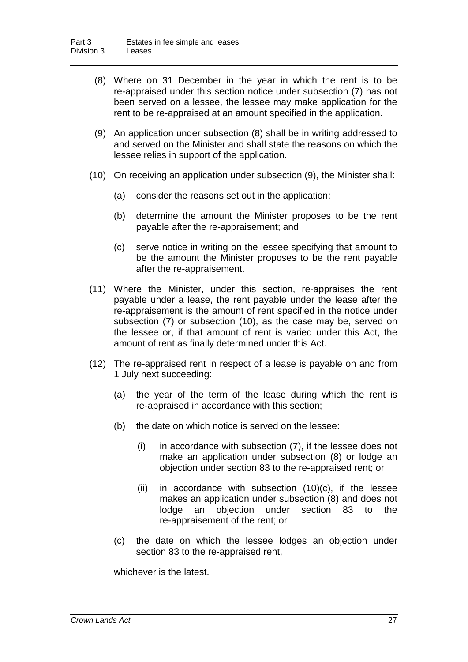- (8) Where on 31 December in the year in which the rent is to be re-appraised under this section notice under subsection (7) has not been served on a lessee, the lessee may make application for the rent to be re-appraised at an amount specified in the application.
- (9) An application under subsection (8) shall be in writing addressed to and served on the Minister and shall state the reasons on which the lessee relies in support of the application.
- (10) On receiving an application under subsection (9), the Minister shall:
	- (a) consider the reasons set out in the application;
	- (b) determine the amount the Minister proposes to be the rent payable after the re-appraisement; and
	- (c) serve notice in writing on the lessee specifying that amount to be the amount the Minister proposes to be the rent payable after the re-appraisement.
- (11) Where the Minister, under this section, re-appraises the rent payable under a lease, the rent payable under the lease after the re-appraisement is the amount of rent specified in the notice under subsection (7) or subsection (10), as the case may be, served on the lessee or, if that amount of rent is varied under this Act, the amount of rent as finally determined under this Act.
- (12) The re-appraised rent in respect of a lease is payable on and from 1 July next succeeding:
	- (a) the year of the term of the lease during which the rent is re-appraised in accordance with this section;
	- (b) the date on which notice is served on the lessee:
		- (i) in accordance with subsection (7), if the lessee does not make an application under subsection (8) or lodge an objection under section 83 to the re-appraised rent; or
		- (ii) in accordance with subsection  $(10)(c)$ , if the lessee makes an application under subsection (8) and does not lodge an objection under section 83 to the re-appraisement of the rent; or
	- (c) the date on which the lessee lodges an objection under section 83 to the re-appraised rent,

whichever is the latest.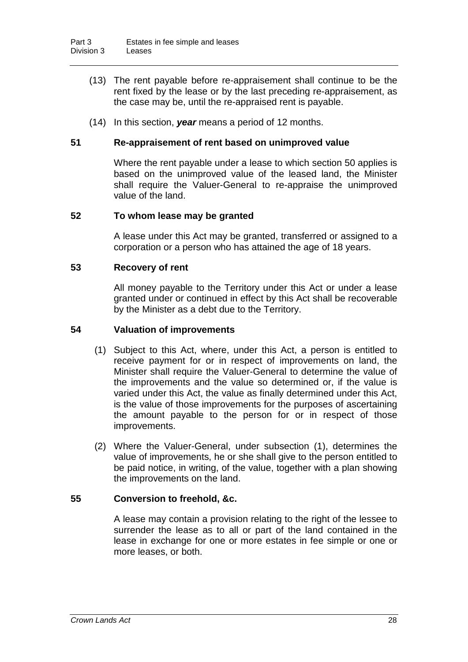- (13) The rent payable before re-appraisement shall continue to be the rent fixed by the lease or by the last preceding re-appraisement, as the case may be, until the re-appraised rent is payable.
- (14) In this section, *year* means a period of 12 months.

#### **51 Re-appraisement of rent based on unimproved value**

Where the rent payable under a lease to which section 50 applies is based on the unimproved value of the leased land, the Minister shall require the Valuer-General to re-appraise the unimproved value of the land.

#### **52 To whom lease may be granted**

A lease under this Act may be granted, transferred or assigned to a corporation or a person who has attained the age of 18 years.

#### **53 Recovery of rent**

All money payable to the Territory under this Act or under a lease granted under or continued in effect by this Act shall be recoverable by the Minister as a debt due to the Territory.

#### **54 Valuation of improvements**

- (1) Subject to this Act, where, under this Act, a person is entitled to receive payment for or in respect of improvements on land, the Minister shall require the Valuer-General to determine the value of the improvements and the value so determined or, if the value is varied under this Act, the value as finally determined under this Act, is the value of those improvements for the purposes of ascertaining the amount payable to the person for or in respect of those improvements.
- (2) Where the Valuer-General, under subsection (1), determines the value of improvements, he or she shall give to the person entitled to be paid notice, in writing, of the value, together with a plan showing the improvements on the land.

#### **55 Conversion to freehold, &c.**

A lease may contain a provision relating to the right of the lessee to surrender the lease as to all or part of the land contained in the lease in exchange for one or more estates in fee simple or one or more leases, or both.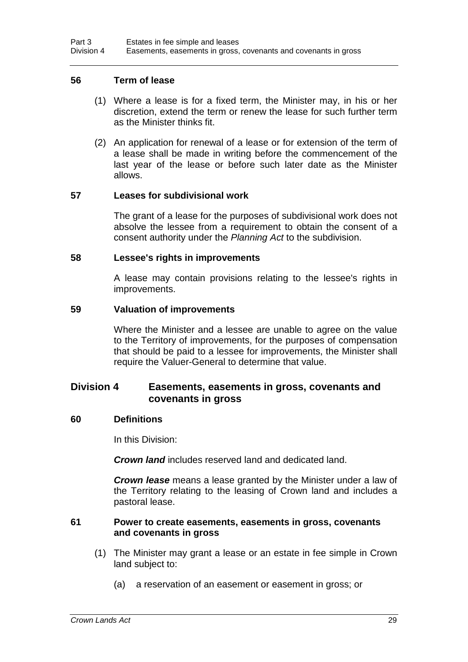#### **56 Term of lease**

- (1) Where a lease is for a fixed term, the Minister may, in his or her discretion, extend the term or renew the lease for such further term as the Minister thinks fit.
- (2) An application for renewal of a lease or for extension of the term of a lease shall be made in writing before the commencement of the last year of the lease or before such later date as the Minister allows.

#### **57 Leases for subdivisional work**

The grant of a lease for the purposes of subdivisional work does not absolve the lessee from a requirement to obtain the consent of a consent authority under the *Planning Act* to the subdivision.

#### **58 Lessee's rights in improvements**

A lease may contain provisions relating to the lessee's rights in improvements.

#### **59 Valuation of improvements**

Where the Minister and a lessee are unable to agree on the value to the Territory of improvements, for the purposes of compensation that should be paid to a lessee for improvements, the Minister shall require the Valuer-General to determine that value.

#### **Division 4 Easements, easements in gross, covenants and covenants in gross**

#### **60 Definitions**

In this Division:

*Crown land* includes reserved land and dedicated land.

*Crown lease* means a lease granted by the Minister under a law of the Territory relating to the leasing of Crown land and includes a pastoral lease.

#### **61 Power to create easements, easements in gross, covenants and covenants in gross**

- (1) The Minister may grant a lease or an estate in fee simple in Crown land subject to:
	- (a) a reservation of an easement or easement in gross; or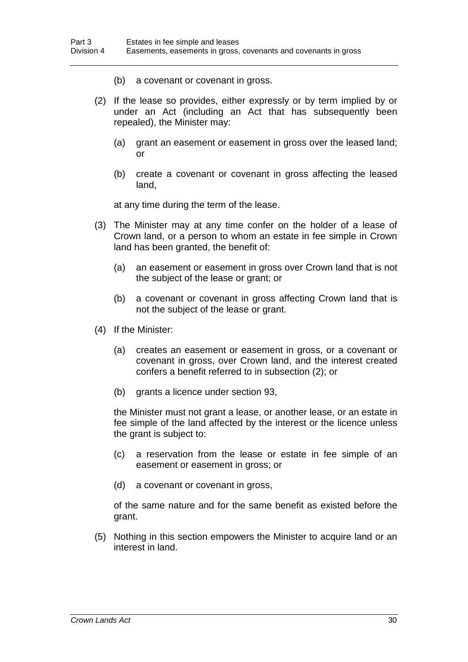- (b) a covenant or covenant in gross.
- (2) If the lease so provides, either expressly or by term implied by or under an Act (including an Act that has subsequently been repealed), the Minister may:
	- (a) grant an easement or easement in gross over the leased land; or
	- (b) create a covenant or covenant in gross affecting the leased land,

at any time during the term of the lease.

- (3) The Minister may at any time confer on the holder of a lease of Crown land, or a person to whom an estate in fee simple in Crown land has been granted, the benefit of:
	- (a) an easement or easement in gross over Crown land that is not the subject of the lease or grant; or
	- (b) a covenant or covenant in gross affecting Crown land that is not the subject of the lease or grant.
- (4) If the Minister:
	- (a) creates an easement or easement in gross, or a covenant or covenant in gross, over Crown land, and the interest created confers a benefit referred to in subsection (2); or
	- (b) grants a licence under section 93,

the Minister must not grant a lease, or another lease, or an estate in fee simple of the land affected by the interest or the licence unless the grant is subject to:

- (c) a reservation from the lease or estate in fee simple of an easement or easement in gross; or
- (d) a covenant or covenant in gross,

of the same nature and for the same benefit as existed before the grant.

(5) Nothing in this section empowers the Minister to acquire land or an interest in land.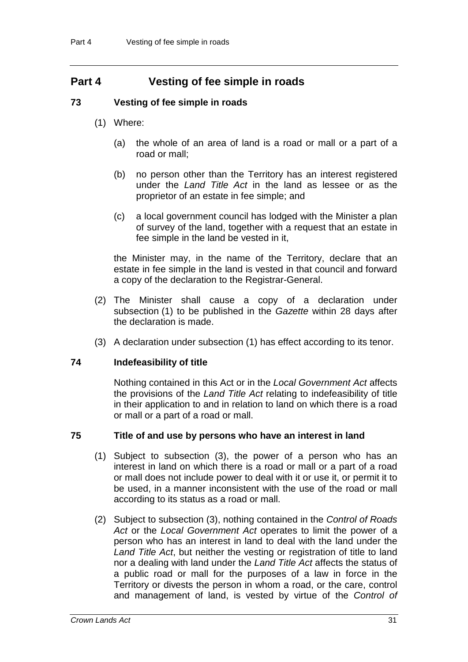## **Part 4 Vesting of fee simple in roads**

#### **73 Vesting of fee simple in roads**

- (1) Where:
	- (a) the whole of an area of land is a road or mall or a part of a road or mall;
	- (b) no person other than the Territory has an interest registered under the *Land Title Act* in the land as lessee or as the proprietor of an estate in fee simple; and
	- (c) a local government council has lodged with the Minister a plan of survey of the land, together with a request that an estate in fee simple in the land be vested in it,

the Minister may, in the name of the Territory, declare that an estate in fee simple in the land is vested in that council and forward a copy of the declaration to the Registrar-General.

- (2) The Minister shall cause a copy of a declaration under subsection (1) to be published in the *Gazette* within 28 days after the declaration is made.
- (3) A declaration under subsection (1) has effect according to its tenor.

#### **74 Indefeasibility of title**

Nothing contained in this Act or in the *Local Government Act* affects the provisions of the *Land Title Act* relating to indefeasibility of title in their application to and in relation to land on which there is a road or mall or a part of a road or mall.

#### **75 Title of and use by persons who have an interest in land**

- (1) Subject to subsection (3), the power of a person who has an interest in land on which there is a road or mall or a part of a road or mall does not include power to deal with it or use it, or permit it to be used, in a manner inconsistent with the use of the road or mall according to its status as a road or mall.
- (2) Subject to subsection (3), nothing contained in the *Control of Roads Act* or the *Local Government Act* operates to limit the power of a person who has an interest in land to deal with the land under the *Land Title Act*, but neither the vesting or registration of title to land nor a dealing with land under the *Land Title Act* affects the status of a public road or mall for the purposes of a law in force in the Territory or divests the person in whom a road, or the care, control and management of land, is vested by virtue of the *Control of*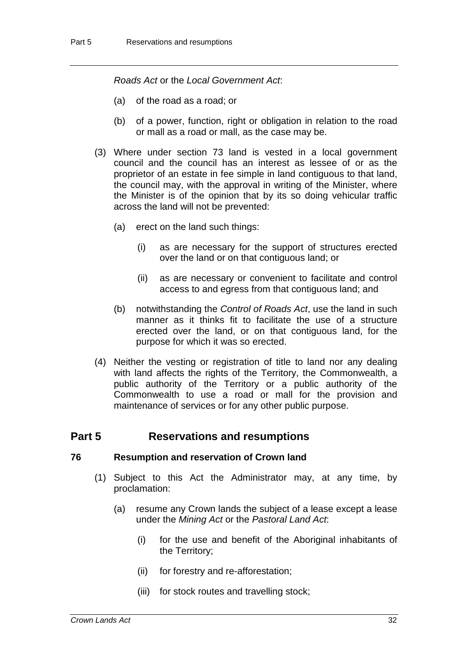*Roads Act* or the *Local Government Act*:

- (a) of the road as a road; or
- (b) of a power, function, right or obligation in relation to the road or mall as a road or mall, as the case may be.
- (3) Where under section 73 land is vested in a local government council and the council has an interest as lessee of or as the proprietor of an estate in fee simple in land contiguous to that land, the council may, with the approval in writing of the Minister, where the Minister is of the opinion that by its so doing vehicular traffic across the land will not be prevented:
	- (a) erect on the land such things:
		- (i) as are necessary for the support of structures erected over the land or on that contiguous land; or
		- (ii) as are necessary or convenient to facilitate and control access to and egress from that contiguous land; and
	- (b) notwithstanding the *Control of Roads Act*, use the land in such manner as it thinks fit to facilitate the use of a structure erected over the land, or on that contiguous land, for the purpose for which it was so erected.
- (4) Neither the vesting or registration of title to land nor any dealing with land affects the rights of the Territory, the Commonwealth, a public authority of the Territory or a public authority of the Commonwealth to use a road or mall for the provision and maintenance of services or for any other public purpose.

#### **Part 5 Reservations and resumptions**

#### **76 Resumption and reservation of Crown land**

- (1) Subject to this Act the Administrator may, at any time, by proclamation:
	- (a) resume any Crown lands the subject of a lease except a lease under the *Mining Act* or the *Pastoral Land Act*:
		- (i) for the use and benefit of the Aboriginal inhabitants of the Territory;
		- (ii) for forestry and re-afforestation;
		- (iii) for stock routes and travelling stock;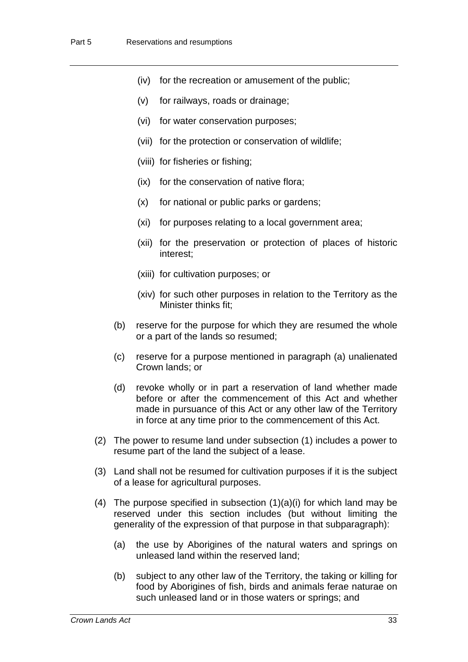- (iv) for the recreation or amusement of the public;
- (v) for railways, roads or drainage;
- (vi) for water conservation purposes;
- (vii) for the protection or conservation of wildlife;
- (viii) for fisheries or fishing;
- (ix) for the conservation of native flora;
- (x) for national or public parks or gardens;
- (xi) for purposes relating to a local government area;
- (xii) for the preservation or protection of places of historic interest;
- (xiii) for cultivation purposes; or
- (xiv) for such other purposes in relation to the Territory as the Minister thinks fit;
- (b) reserve for the purpose for which they are resumed the whole or a part of the lands so resumed;
- (c) reserve for a purpose mentioned in paragraph (a) unalienated Crown lands; or
- (d) revoke wholly or in part a reservation of land whether made before or after the commencement of this Act and whether made in pursuance of this Act or any other law of the Territory in force at any time prior to the commencement of this Act.
- (2) The power to resume land under subsection (1) includes a power to resume part of the land the subject of a lease.
- (3) Land shall not be resumed for cultivation purposes if it is the subject of a lease for agricultural purposes.
- (4) The purpose specified in subsection  $(1)(a)(i)$  for which land may be reserved under this section includes (but without limiting the generality of the expression of that purpose in that subparagraph):
	- (a) the use by Aborigines of the natural waters and springs on unleased land within the reserved land;
	- (b) subject to any other law of the Territory, the taking or killing for food by Aborigines of fish, birds and animals ferae naturae on such unleased land or in those waters or springs; and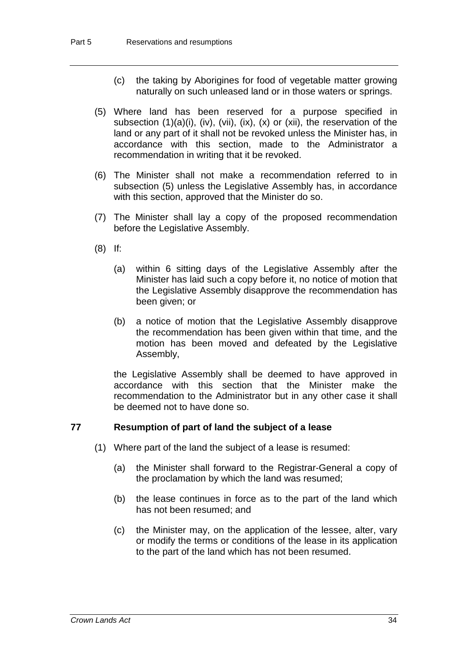- (c) the taking by Aborigines for food of vegetable matter growing naturally on such unleased land or in those waters or springs.
- (5) Where land has been reserved for a purpose specified in subsection  $(1)(a)(i)$ ,  $(iv)$ ,  $(vii)$ ,  $(ix)$ ,  $(x)$  or  $(xii)$ , the reservation of the land or any part of it shall not be revoked unless the Minister has, in accordance with this section, made to the Administrator a recommendation in writing that it be revoked.
- (6) The Minister shall not make a recommendation referred to in subsection (5) unless the Legislative Assembly has, in accordance with this section, approved that the Minister do so.
- (7) The Minister shall lay a copy of the proposed recommendation before the Legislative Assembly.
- (8) If:
	- (a) within 6 sitting days of the Legislative Assembly after the Minister has laid such a copy before it, no notice of motion that the Legislative Assembly disapprove the recommendation has been given; or
	- (b) a notice of motion that the Legislative Assembly disapprove the recommendation has been given within that time, and the motion has been moved and defeated by the Legislative Assembly,

the Legislative Assembly shall be deemed to have approved in accordance with this section that the Minister make the recommendation to the Administrator but in any other case it shall be deemed not to have done so.

#### **77 Resumption of part of land the subject of a lease**

- (1) Where part of the land the subject of a lease is resumed:
	- (a) the Minister shall forward to the Registrar-General a copy of the proclamation by which the land was resumed;
	- (b) the lease continues in force as to the part of the land which has not been resumed; and
	- (c) the Minister may, on the application of the lessee, alter, vary or modify the terms or conditions of the lease in its application to the part of the land which has not been resumed.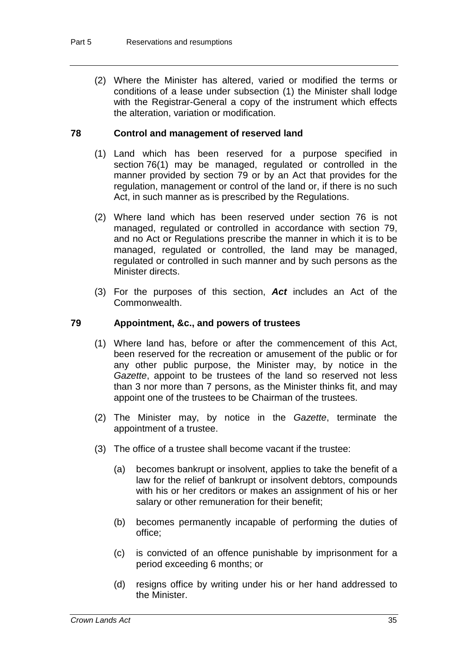(2) Where the Minister has altered, varied or modified the terms or conditions of a lease under subsection (1) the Minister shall lodge with the Registrar-General a copy of the instrument which effects the alteration, variation or modification.

#### **78 Control and management of reserved land**

- (1) Land which has been reserved for a purpose specified in section 76(1) may be managed, regulated or controlled in the manner provided by section 79 or by an Act that provides for the regulation, management or control of the land or, if there is no such Act, in such manner as is prescribed by the Regulations.
- (2) Where land which has been reserved under section 76 is not managed, regulated or controlled in accordance with section 79, and no Act or Regulations prescribe the manner in which it is to be managed, regulated or controlled, the land may be managed, regulated or controlled in such manner and by such persons as the Minister directs.
- (3) For the purposes of this section, *Act* includes an Act of the Commonwealth.

#### **79 Appointment, &c., and powers of trustees**

- (1) Where land has, before or after the commencement of this Act, been reserved for the recreation or amusement of the public or for any other public purpose, the Minister may, by notice in the *Gazette*, appoint to be trustees of the land so reserved not less than 3 nor more than 7 persons, as the Minister thinks fit, and may appoint one of the trustees to be Chairman of the trustees.
- (2) The Minister may, by notice in the *Gazette*, terminate the appointment of a trustee.
- (3) The office of a trustee shall become vacant if the trustee:
	- (a) becomes bankrupt or insolvent, applies to take the benefit of a law for the relief of bankrupt or insolvent debtors, compounds with his or her creditors or makes an assignment of his or her salary or other remuneration for their benefit;
	- (b) becomes permanently incapable of performing the duties of office;
	- (c) is convicted of an offence punishable by imprisonment for a period exceeding 6 months; or
	- (d) resigns office by writing under his or her hand addressed to the Minister.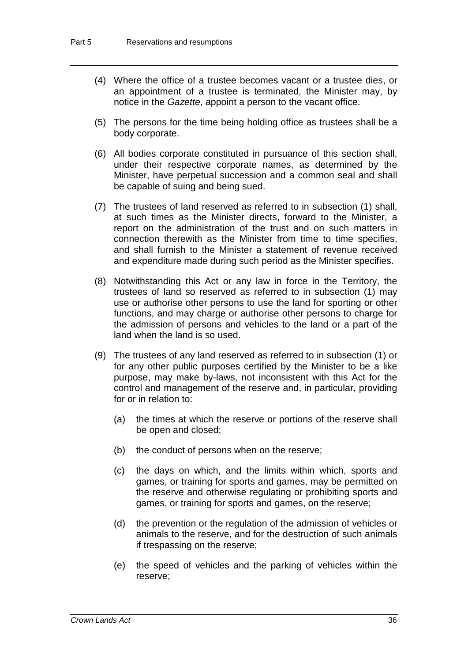- (4) Where the office of a trustee becomes vacant or a trustee dies, or an appointment of a trustee is terminated, the Minister may, by notice in the *Gazette*, appoint a person to the vacant office.
- (5) The persons for the time being holding office as trustees shall be a body corporate.
- (6) All bodies corporate constituted in pursuance of this section shall, under their respective corporate names, as determined by the Minister, have perpetual succession and a common seal and shall be capable of suing and being sued.
- (7) The trustees of land reserved as referred to in subsection (1) shall, at such times as the Minister directs, forward to the Minister, a report on the administration of the trust and on such matters in connection therewith as the Minister from time to time specifies, and shall furnish to the Minister a statement of revenue received and expenditure made during such period as the Minister specifies.
- (8) Notwithstanding this Act or any law in force in the Territory, the trustees of land so reserved as referred to in subsection (1) may use or authorise other persons to use the land for sporting or other functions, and may charge or authorise other persons to charge for the admission of persons and vehicles to the land or a part of the land when the land is so used.
- (9) The trustees of any land reserved as referred to in subsection (1) or for any other public purposes certified by the Minister to be a like purpose, may make by-laws, not inconsistent with this Act for the control and management of the reserve and, in particular, providing for or in relation to:
	- (a) the times at which the reserve or portions of the reserve shall be open and closed;
	- (b) the conduct of persons when on the reserve;
	- (c) the days on which, and the limits within which, sports and games, or training for sports and games, may be permitted on the reserve and otherwise regulating or prohibiting sports and games, or training for sports and games, on the reserve;
	- (d) the prevention or the regulation of the admission of vehicles or animals to the reserve, and for the destruction of such animals if trespassing on the reserve;
	- (e) the speed of vehicles and the parking of vehicles within the reserve;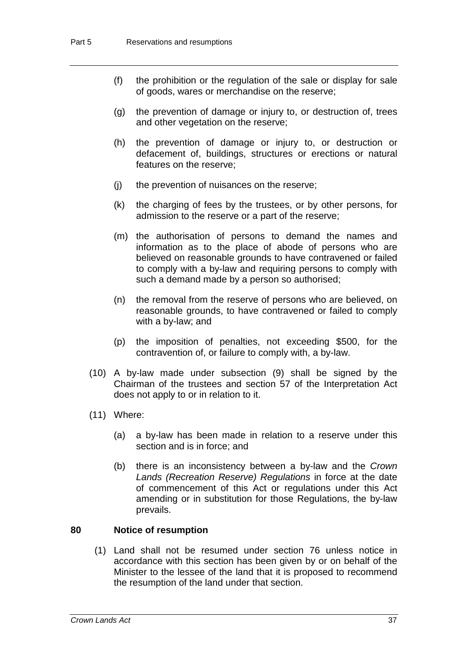- (f) the prohibition or the regulation of the sale or display for sale of goods, wares or merchandise on the reserve;
- (g) the prevention of damage or injury to, or destruction of, trees and other vegetation on the reserve;
- (h) the prevention of damage or injury to, or destruction or defacement of, buildings, structures or erections or natural features on the reserve;
- (j) the prevention of nuisances on the reserve;
- (k) the charging of fees by the trustees, or by other persons, for admission to the reserve or a part of the reserve;
- (m) the authorisation of persons to demand the names and information as to the place of abode of persons who are believed on reasonable grounds to have contravened or failed to comply with a by-law and requiring persons to comply with such a demand made by a person so authorised;
- (n) the removal from the reserve of persons who are believed, on reasonable grounds, to have contravened or failed to comply with a by-law; and
- (p) the imposition of penalties, not exceeding \$500, for the contravention of, or failure to comply with, a by-law.
- (10) A by-law made under subsection (9) shall be signed by the Chairman of the trustees and section 57 of the Interpretation Act does not apply to or in relation to it.
- (11) Where:
	- (a) a by-law has been made in relation to a reserve under this section and is in force; and
	- (b) there is an inconsistency between a by-law and the *Crown Lands (Recreation Reserve) Regulations* in force at the date of commencement of this Act or regulations under this Act amending or in substitution for those Regulations, the by-law prevails.

#### **80 Notice of resumption**

(1) Land shall not be resumed under section 76 unless notice in accordance with this section has been given by or on behalf of the Minister to the lessee of the land that it is proposed to recommend the resumption of the land under that section.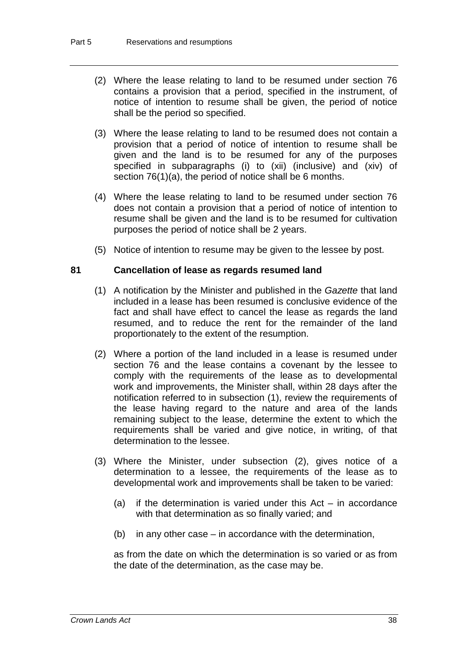- (2) Where the lease relating to land to be resumed under section 76 contains a provision that a period, specified in the instrument, of notice of intention to resume shall be given, the period of notice shall be the period so specified.
- (3) Where the lease relating to land to be resumed does not contain a provision that a period of notice of intention to resume shall be given and the land is to be resumed for any of the purposes specified in subparagraphs (i) to (xii) (inclusive) and (xiv) of section 76(1)(a), the period of notice shall be 6 months.
- (4) Where the lease relating to land to be resumed under section 76 does not contain a provision that a period of notice of intention to resume shall be given and the land is to be resumed for cultivation purposes the period of notice shall be 2 years.
- (5) Notice of intention to resume may be given to the lessee by post.

#### **81 Cancellation of lease as regards resumed land**

- (1) A notification by the Minister and published in the *Gazette* that land included in a lease has been resumed is conclusive evidence of the fact and shall have effect to cancel the lease as regards the land resumed, and to reduce the rent for the remainder of the land proportionately to the extent of the resumption.
- (2) Where a portion of the land included in a lease is resumed under section 76 and the lease contains a covenant by the lessee to comply with the requirements of the lease as to developmental work and improvements, the Minister shall, within 28 days after the notification referred to in subsection (1), review the requirements of the lease having regard to the nature and area of the lands remaining subject to the lease, determine the extent to which the requirements shall be varied and give notice, in writing, of that determination to the lessee.
- (3) Where the Minister, under subsection (2), gives notice of a determination to a lessee, the requirements of the lease as to developmental work and improvements shall be taken to be varied:
	- (a) if the determination is varied under this  $Act in accordance$ with that determination as so finally varied; and
	- (b) in any other case in accordance with the determination,

as from the date on which the determination is so varied or as from the date of the determination, as the case may be.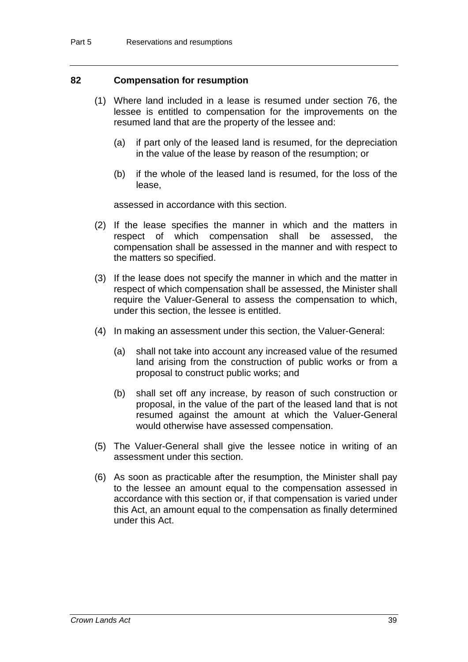#### **82 Compensation for resumption**

- (1) Where land included in a lease is resumed under section 76, the lessee is entitled to compensation for the improvements on the resumed land that are the property of the lessee and:
	- (a) if part only of the leased land is resumed, for the depreciation in the value of the lease by reason of the resumption; or
	- (b) if the whole of the leased land is resumed, for the loss of the lease,

assessed in accordance with this section.

- (2) If the lease specifies the manner in which and the matters in respect of which compensation shall be assessed, the compensation shall be assessed in the manner and with respect to the matters so specified.
- (3) If the lease does not specify the manner in which and the matter in respect of which compensation shall be assessed, the Minister shall require the Valuer-General to assess the compensation to which, under this section, the lessee is entitled.
- (4) In making an assessment under this section, the Valuer-General:
	- (a) shall not take into account any increased value of the resumed land arising from the construction of public works or from a proposal to construct public works; and
	- (b) shall set off any increase, by reason of such construction or proposal, in the value of the part of the leased land that is not resumed against the amount at which the Valuer-General would otherwise have assessed compensation.
- (5) The Valuer-General shall give the lessee notice in writing of an assessment under this section.
- (6) As soon as practicable after the resumption, the Minister shall pay to the lessee an amount equal to the compensation assessed in accordance with this section or, if that compensation is varied under this Act, an amount equal to the compensation as finally determined under this Act.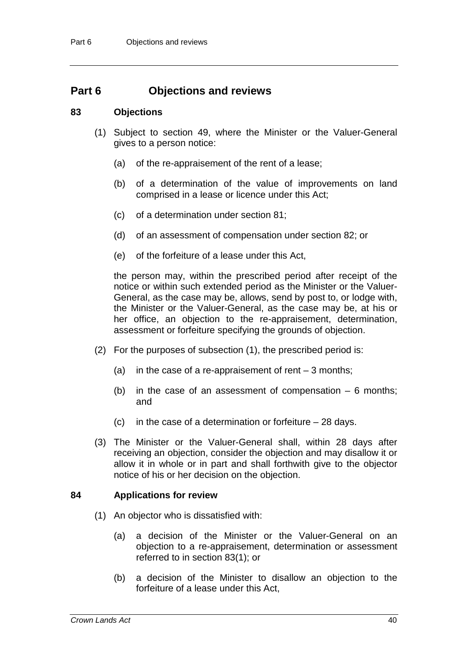## **Part 6 Objections and reviews**

#### **83 Objections**

- (1) Subject to section 49, where the Minister or the Valuer-General gives to a person notice:
	- (a) of the re-appraisement of the rent of a lease;
	- (b) of a determination of the value of improvements on land comprised in a lease or licence under this Act;
	- (c) of a determination under section 81;
	- (d) of an assessment of compensation under section 82; or
	- (e) of the forfeiture of a lease under this Act,

the person may, within the prescribed period after receipt of the notice or within such extended period as the Minister or the Valuer-General, as the case may be, allows, send by post to, or lodge with, the Minister or the Valuer-General, as the case may be, at his or her office, an objection to the re-appraisement, determination, assessment or forfeiture specifying the grounds of objection.

- (2) For the purposes of subsection (1), the prescribed period is:
	- (a) in the case of a re-appraisement of rent  $-3$  months;
	- (b) in the case of an assessment of compensation  $-6$  months; and
	- (c) in the case of a determination or forfeiture  $-28$  days.
- (3) The Minister or the Valuer-General shall, within 28 days after receiving an objection, consider the objection and may disallow it or allow it in whole or in part and shall forthwith give to the objector notice of his or her decision on the objection.

#### **84 Applications for review**

- (1) An objector who is dissatisfied with:
	- (a) a decision of the Minister or the Valuer-General on an objection to a re-appraisement, determination or assessment referred to in section 83(1); or
	- (b) a decision of the Minister to disallow an objection to the forfeiture of a lease under this Act,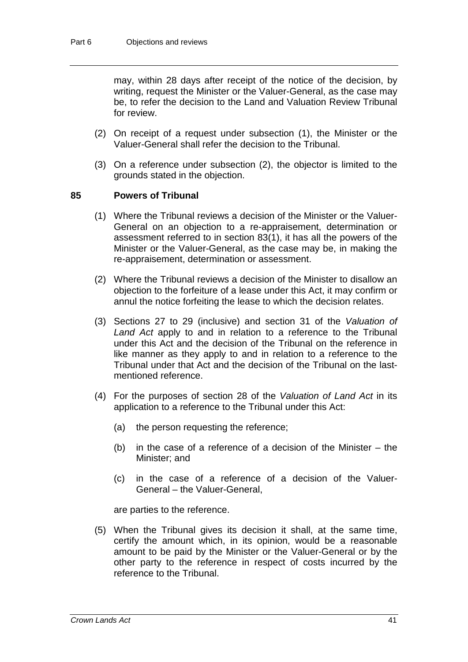may, within 28 days after receipt of the notice of the decision, by writing, request the Minister or the Valuer-General, as the case may be, to refer the decision to the Land and Valuation Review Tribunal for review.

- (2) On receipt of a request under subsection (1), the Minister or the Valuer-General shall refer the decision to the Tribunal.
- (3) On a reference under subsection (2), the objector is limited to the grounds stated in the objection.

#### **85 Powers of Tribunal**

- (1) Where the Tribunal reviews a decision of the Minister or the Valuer-General on an objection to a re-appraisement, determination or assessment referred to in section 83(1), it has all the powers of the Minister or the Valuer-General, as the case may be, in making the re-appraisement, determination or assessment.
- (2) Where the Tribunal reviews a decision of the Minister to disallow an objection to the forfeiture of a lease under this Act, it may confirm or annul the notice forfeiting the lease to which the decision relates.
- (3) Sections 27 to 29 (inclusive) and section 31 of the *Valuation of Land Act* apply to and in relation to a reference to the Tribunal under this Act and the decision of the Tribunal on the reference in like manner as they apply to and in relation to a reference to the Tribunal under that Act and the decision of the Tribunal on the lastmentioned reference.
- (4) For the purposes of section 28 of the *Valuation of Land Act* in its application to a reference to the Tribunal under this Act:
	- (a) the person requesting the reference;
	- (b) in the case of a reference of a decision of the Minister the Minister; and
	- (c) in the case of a reference of a decision of the Valuer-General – the Valuer-General,

are parties to the reference.

(5) When the Tribunal gives its decision it shall, at the same time, certify the amount which, in its opinion, would be a reasonable amount to be paid by the Minister or the Valuer-General or by the other party to the reference in respect of costs incurred by the reference to the Tribunal.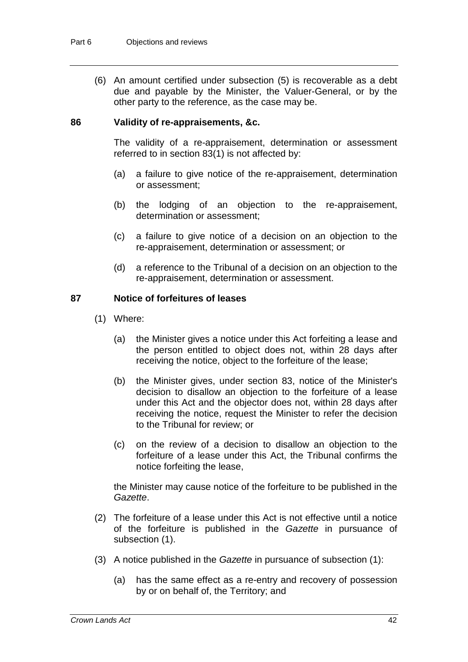(6) An amount certified under subsection (5) is recoverable as a debt due and payable by the Minister, the Valuer-General, or by the other party to the reference, as the case may be.

#### **86 Validity of re-appraisements, &c.**

The validity of a re-appraisement, determination or assessment referred to in section 83(1) is not affected by:

- (a) a failure to give notice of the re-appraisement, determination or assessment;
- (b) the lodging of an objection to the re-appraisement, determination or assessment;
- (c) a failure to give notice of a decision on an objection to the re-appraisement, determination or assessment; or
- (d) a reference to the Tribunal of a decision on an objection to the re-appraisement, determination or assessment.

#### **87 Notice of forfeitures of leases**

- (1) Where:
	- (a) the Minister gives a notice under this Act forfeiting a lease and the person entitled to object does not, within 28 days after receiving the notice, object to the forfeiture of the lease;
	- (b) the Minister gives, under section 83, notice of the Minister's decision to disallow an objection to the forfeiture of a lease under this Act and the objector does not, within 28 days after receiving the notice, request the Minister to refer the decision to the Tribunal for review; or
	- (c) on the review of a decision to disallow an objection to the forfeiture of a lease under this Act, the Tribunal confirms the notice forfeiting the lease,

the Minister may cause notice of the forfeiture to be published in the *Gazette*.

- (2) The forfeiture of a lease under this Act is not effective until a notice of the forfeiture is published in the *Gazette* in pursuance of subsection (1).
- (3) A notice published in the *Gazette* in pursuance of subsection (1):
	- (a) has the same effect as a re-entry and recovery of possession by or on behalf of, the Territory; and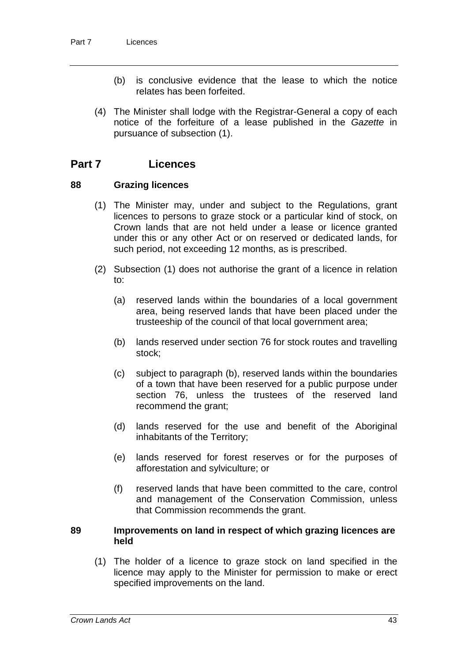- (b) is conclusive evidence that the lease to which the notice relates has been forfeited.
- (4) The Minister shall lodge with the Registrar-General a copy of each notice of the forfeiture of a lease published in the *Gazette* in pursuance of subsection (1).

## **Part 7 Licences**

#### **88 Grazing licences**

- (1) The Minister may, under and subject to the Regulations, grant licences to persons to graze stock or a particular kind of stock, on Crown lands that are not held under a lease or licence granted under this or any other Act or on reserved or dedicated lands, for such period, not exceeding 12 months, as is prescribed.
- (2) Subsection (1) does not authorise the grant of a licence in relation to:
	- (a) reserved lands within the boundaries of a local government area, being reserved lands that have been placed under the trusteeship of the council of that local government area;
	- (b) lands reserved under section 76 for stock routes and travelling stock;
	- (c) subject to paragraph (b), reserved lands within the boundaries of a town that have been reserved for a public purpose under section 76, unless the trustees of the reserved land recommend the grant;
	- (d) lands reserved for the use and benefit of the Aboriginal inhabitants of the Territory;
	- (e) lands reserved for forest reserves or for the purposes of afforestation and sylviculture; or
	- (f) reserved lands that have been committed to the care, control and management of the Conservation Commission, unless that Commission recommends the grant.

#### **89 Improvements on land in respect of which grazing licences are held**

(1) The holder of a licence to graze stock on land specified in the licence may apply to the Minister for permission to make or erect specified improvements on the land.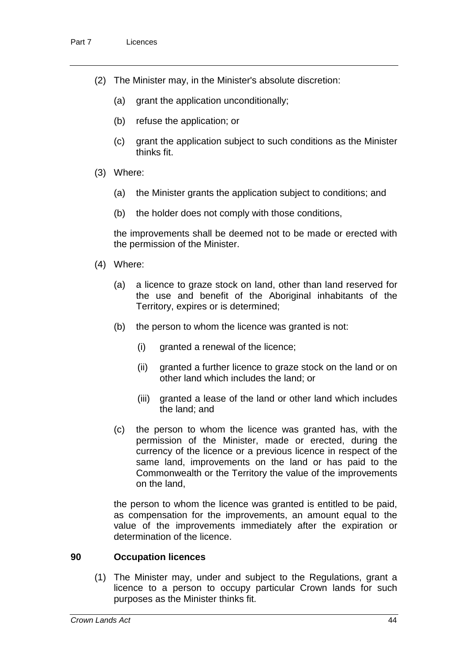- (2) The Minister may, in the Minister's absolute discretion:
	- (a) grant the application unconditionally;
	- (b) refuse the application; or
	- (c) grant the application subject to such conditions as the Minister thinks fit.
- (3) Where:
	- (a) the Minister grants the application subject to conditions; and
	- (b) the holder does not comply with those conditions,

the improvements shall be deemed not to be made or erected with the permission of the Minister.

- (4) Where:
	- (a) a licence to graze stock on land, other than land reserved for the use and benefit of the Aboriginal inhabitants of the Territory, expires or is determined;
	- (b) the person to whom the licence was granted is not:
		- (i) granted a renewal of the licence;
		- (ii) granted a further licence to graze stock on the land or on other land which includes the land; or
		- (iii) granted a lease of the land or other land which includes the land; and
	- (c) the person to whom the licence was granted has, with the permission of the Minister, made or erected, during the currency of the licence or a previous licence in respect of the same land, improvements on the land or has paid to the Commonwealth or the Territory the value of the improvements on the land,

the person to whom the licence was granted is entitled to be paid, as compensation for the improvements, an amount equal to the value of the improvements immediately after the expiration or determination of the licence.

#### **90 Occupation licences**

(1) The Minister may, under and subject to the Regulations, grant a licence to a person to occupy particular Crown lands for such purposes as the Minister thinks fit.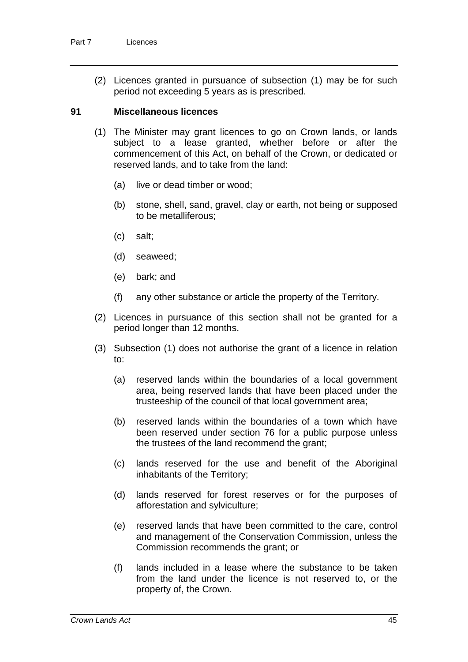(2) Licences granted in pursuance of subsection (1) may be for such period not exceeding 5 years as is prescribed.

#### **91 Miscellaneous licences**

- (1) The Minister may grant licences to go on Crown lands, or lands subject to a lease granted, whether before or after the commencement of this Act, on behalf of the Crown, or dedicated or reserved lands, and to take from the land:
	- (a) live or dead timber or wood;
	- (b) stone, shell, sand, gravel, clay or earth, not being or supposed to be metalliferous;
	- (c) salt;
	- (d) seaweed;
	- (e) bark; and
	- (f) any other substance or article the property of the Territory.
- (2) Licences in pursuance of this section shall not be granted for a period longer than 12 months.
- (3) Subsection (1) does not authorise the grant of a licence in relation to:
	- (a) reserved lands within the boundaries of a local government area, being reserved lands that have been placed under the trusteeship of the council of that local government area;
	- (b) reserved lands within the boundaries of a town which have been reserved under section 76 for a public purpose unless the trustees of the land recommend the grant;
	- (c) lands reserved for the use and benefit of the Aboriginal inhabitants of the Territory;
	- (d) lands reserved for forest reserves or for the purposes of afforestation and sylviculture;
	- (e) reserved lands that have been committed to the care, control and management of the Conservation Commission, unless the Commission recommends the grant; or
	- (f) lands included in a lease where the substance to be taken from the land under the licence is not reserved to, or the property of, the Crown.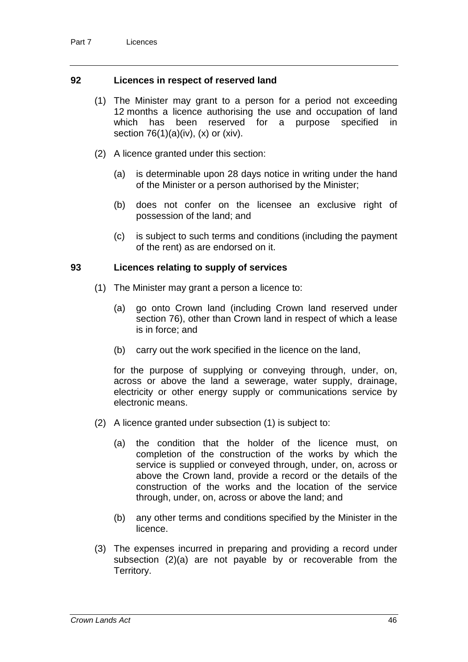#### **92 Licences in respect of reserved land**

- (1) The Minister may grant to a person for a period not exceeding 12 months a licence authorising the use and occupation of land which has been reserved for a purpose specified in section  $76(1)(a)(iv)$ ,  $(x)$  or  $(xiv)$ .
- (2) A licence granted under this section:
	- (a) is determinable upon 28 days notice in writing under the hand of the Minister or a person authorised by the Minister;
	- (b) does not confer on the licensee an exclusive right of possession of the land; and
	- (c) is subject to such terms and conditions (including the payment of the rent) as are endorsed on it.

#### **93 Licences relating to supply of services**

- (1) The Minister may grant a person a licence to:
	- (a) go onto Crown land (including Crown land reserved under section 76), other than Crown land in respect of which a lease is in force; and
	- (b) carry out the work specified in the licence on the land,

for the purpose of supplying or conveying through, under, on, across or above the land a sewerage, water supply, drainage, electricity or other energy supply or communications service by electronic means.

- (2) A licence granted under subsection (1) is subject to:
	- (a) the condition that the holder of the licence must, on completion of the construction of the works by which the service is supplied or conveyed through, under, on, across or above the Crown land, provide a record or the details of the construction of the works and the location of the service through, under, on, across or above the land; and
	- (b) any other terms and conditions specified by the Minister in the licence.
- (3) The expenses incurred in preparing and providing a record under subsection (2)(a) are not payable by or recoverable from the Territory.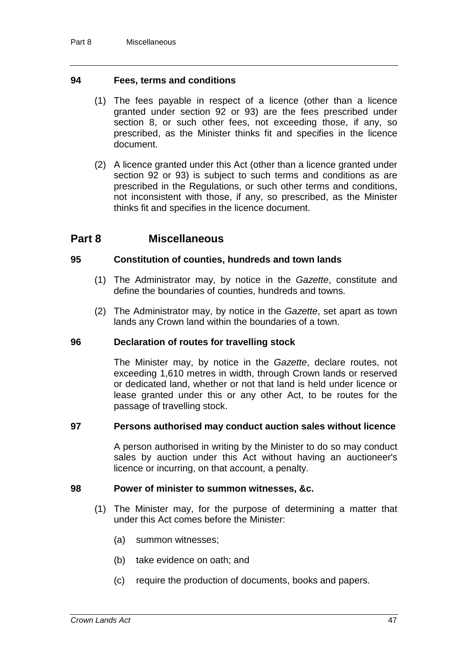#### **94 Fees, terms and conditions**

- (1) The fees payable in respect of a licence (other than a licence granted under section 92 or 93) are the fees prescribed under section 8, or such other fees, not exceeding those, if any, so prescribed, as the Minister thinks fit and specifies in the licence document.
- (2) A licence granted under this Act (other than a licence granted under section 92 or 93) is subject to such terms and conditions as are prescribed in the Regulations, or such other terms and conditions, not inconsistent with those, if any, so prescribed, as the Minister thinks fit and specifies in the licence document.

#### **Part 8 Miscellaneous**

#### **95 Constitution of counties, hundreds and town lands**

- (1) The Administrator may, by notice in the *Gazette*, constitute and define the boundaries of counties, hundreds and towns.
- (2) The Administrator may, by notice in the *Gazette*, set apart as town lands any Crown land within the boundaries of a town.

#### **96 Declaration of routes for travelling stock**

The Minister may, by notice in the *Gazette*, declare routes, not exceeding 1,610 metres in width, through Crown lands or reserved or dedicated land, whether or not that land is held under licence or lease granted under this or any other Act, to be routes for the passage of travelling stock.

#### **97 Persons authorised may conduct auction sales without licence**

A person authorised in writing by the Minister to do so may conduct sales by auction under this Act without having an auctioneer's licence or incurring, on that account, a penalty.

#### **98 Power of minister to summon witnesses, &c.**

- (1) The Minister may, for the purpose of determining a matter that under this Act comes before the Minister:
	- (a) summon witnesses;
	- (b) take evidence on oath; and
	- (c) require the production of documents, books and papers.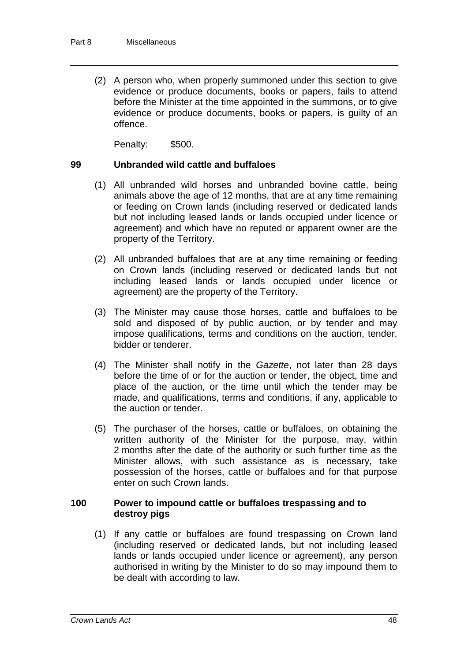(2) A person who, when properly summoned under this section to give evidence or produce documents, books or papers, fails to attend before the Minister at the time appointed in the summons, or to give evidence or produce documents, books or papers, is guilty of an offence.

Penalty: \$500.

#### **99 Unbranded wild cattle and buffaloes**

- (1) All unbranded wild horses and unbranded bovine cattle, being animals above the age of 12 months, that are at any time remaining or feeding on Crown lands (including reserved or dedicated lands but not including leased lands or lands occupied under licence or agreement) and which have no reputed or apparent owner are the property of the Territory.
- (2) All unbranded buffaloes that are at any time remaining or feeding on Crown lands (including reserved or dedicated lands but not including leased lands or lands occupied under licence or agreement) are the property of the Territory.
- (3) The Minister may cause those horses, cattle and buffaloes to be sold and disposed of by public auction, or by tender and may impose qualifications, terms and conditions on the auction, tender, bidder or tenderer.
- (4) The Minister shall notify in the *Gazette*, not later than 28 days before the time of or for the auction or tender, the object, time and place of the auction, or the time until which the tender may be made, and qualifications, terms and conditions, if any, applicable to the auction or tender.
- (5) The purchaser of the horses, cattle or buffaloes, on obtaining the written authority of the Minister for the purpose, may, within 2 months after the date of the authority or such further time as the Minister allows, with such assistance as is necessary, take possession of the horses, cattle or buffaloes and for that purpose enter on such Crown lands.

#### **100 Power to impound cattle or buffaloes trespassing and to destroy pigs**

(1) If any cattle or buffaloes are found trespassing on Crown land (including reserved or dedicated lands, but not including leased lands or lands occupied under licence or agreement), any person authorised in writing by the Minister to do so may impound them to be dealt with according to law.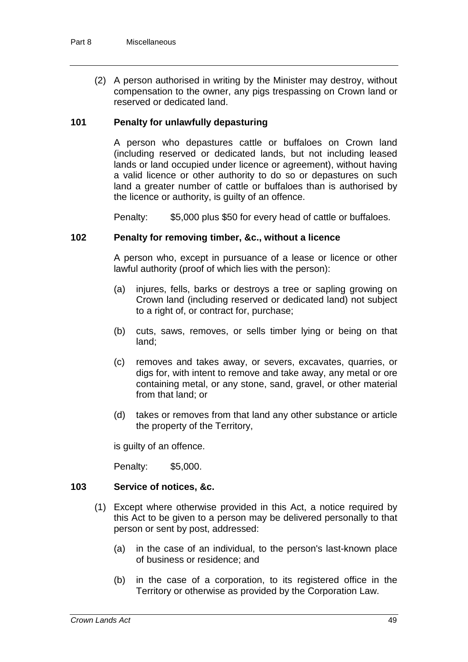(2) A person authorised in writing by the Minister may destroy, without compensation to the owner, any pigs trespassing on Crown land or reserved or dedicated land.

#### **101 Penalty for unlawfully depasturing**

A person who depastures cattle or buffaloes on Crown land (including reserved or dedicated lands, but not including leased lands or land occupied under licence or agreement), without having a valid licence or other authority to do so or depastures on such land a greater number of cattle or buffaloes than is authorised by the licence or authority, is guilty of an offence.

Penalty: \$5,000 plus \$50 for every head of cattle or buffaloes.

#### **102 Penalty for removing timber, &c., without a licence**

A person who, except in pursuance of a lease or licence or other lawful authority (proof of which lies with the person):

- (a) injures, fells, barks or destroys a tree or sapling growing on Crown land (including reserved or dedicated land) not subject to a right of, or contract for, purchase;
- (b) cuts, saws, removes, or sells timber lying or being on that land;
- (c) removes and takes away, or severs, excavates, quarries, or digs for, with intent to remove and take away, any metal or ore containing metal, or any stone, sand, gravel, or other material from that land; or
- (d) takes or removes from that land any other substance or article the property of the Territory,

is guilty of an offence.

Penalty: \$5,000.

#### **103 Service of notices, &c.**

- (1) Except where otherwise provided in this Act, a notice required by this Act to be given to a person may be delivered personally to that person or sent by post, addressed:
	- (a) in the case of an individual, to the person's last-known place of business or residence; and
	- (b) in the case of a corporation, to its registered office in the Territory or otherwise as provided by the Corporation Law.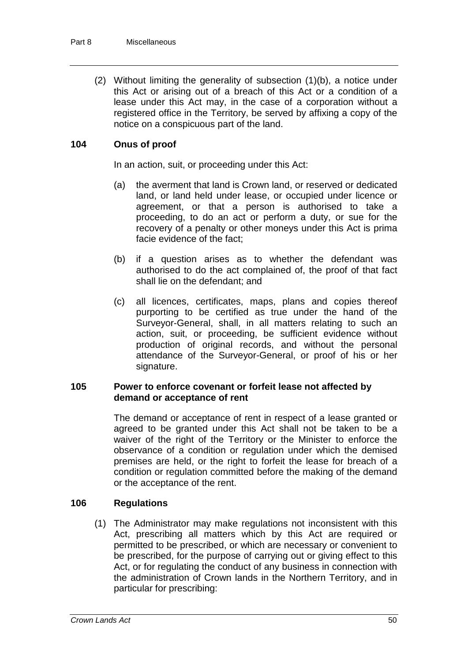(2) Without limiting the generality of subsection (1)(b), a notice under this Act or arising out of a breach of this Act or a condition of a lease under this Act may, in the case of a corporation without a registered office in the Territory, be served by affixing a copy of the notice on a conspicuous part of the land.

#### **104 Onus of proof**

In an action, suit, or proceeding under this Act:

- (a) the averment that land is Crown land, or reserved or dedicated land, or land held under lease, or occupied under licence or agreement, or that a person is authorised to take a proceeding, to do an act or perform a duty, or sue for the recovery of a penalty or other moneys under this Act is prima facie evidence of the fact;
- (b) if a question arises as to whether the defendant was authorised to do the act complained of, the proof of that fact shall lie on the defendant; and
- (c) all licences, certificates, maps, plans and copies thereof purporting to be certified as true under the hand of the Surveyor-General, shall, in all matters relating to such an action, suit, or proceeding, be sufficient evidence without production of original records, and without the personal attendance of the Surveyor-General, or proof of his or her signature.

#### **105 Power to enforce covenant or forfeit lease not affected by demand or acceptance of rent**

The demand or acceptance of rent in respect of a lease granted or agreed to be granted under this Act shall not be taken to be a waiver of the right of the Territory or the Minister to enforce the observance of a condition or regulation under which the demised premises are held, or the right to forfeit the lease for breach of a condition or regulation committed before the making of the demand or the acceptance of the rent.

#### **106 Regulations**

(1) The Administrator may make regulations not inconsistent with this Act, prescribing all matters which by this Act are required or permitted to be prescribed, or which are necessary or convenient to be prescribed, for the purpose of carrying out or giving effect to this Act, or for regulating the conduct of any business in connection with the administration of Crown lands in the Northern Territory, and in particular for prescribing: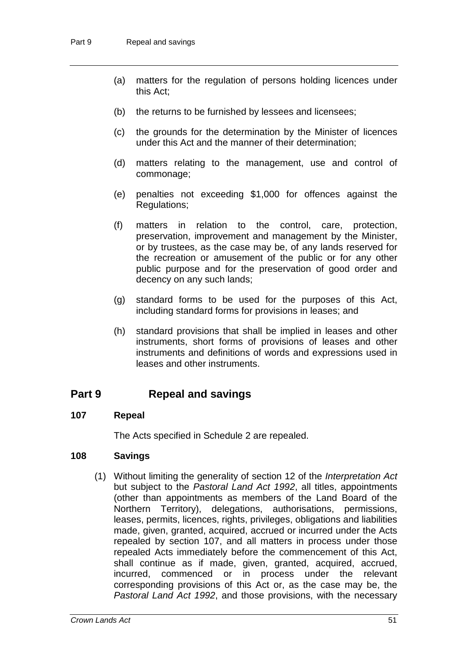- (a) matters for the regulation of persons holding licences under this Act;
- (b) the returns to be furnished by lessees and licensees;
- (c) the grounds for the determination by the Minister of licences under this Act and the manner of their determination;
- (d) matters relating to the management, use and control of commonage;
- (e) penalties not exceeding \$1,000 for offences against the Regulations;
- (f) matters in relation to the control, care, protection, preservation, improvement and management by the Minister, or by trustees, as the case may be, of any lands reserved for the recreation or amusement of the public or for any other public purpose and for the preservation of good order and decency on any such lands;
- (g) standard forms to be used for the purposes of this Act, including standard forms for provisions in leases; and
- (h) standard provisions that shall be implied in leases and other instruments, short forms of provisions of leases and other instruments and definitions of words and expressions used in leases and other instruments.

## **Part 9 Repeal and savings**

#### **107 Repeal**

The Acts specified in Schedule 2 are repealed.

#### **108 Savings**

(1) Without limiting the generality of section 12 of the *Interpretation Act* but subject to the *Pastoral Land Act 1992*, all titles, appointments (other than appointments as members of the Land Board of the Northern Territory), delegations, authorisations, permissions, leases, permits, licences, rights, privileges, obligations and liabilities made, given, granted, acquired, accrued or incurred under the Acts repealed by section 107, and all matters in process under those repealed Acts immediately before the commencement of this Act, shall continue as if made, given, granted, acquired, accrued, incurred, commenced or in process under the relevant corresponding provisions of this Act or, as the case may be, the *Pastoral Land Act 1992*, and those provisions, with the necessary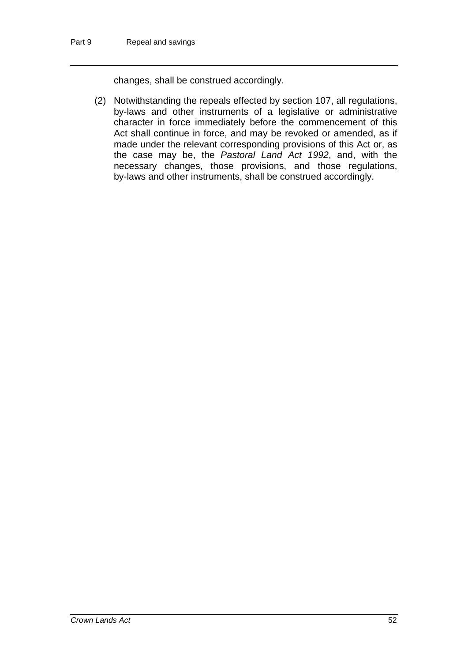changes, shall be construed accordingly.

(2) Notwithstanding the repeals effected by section 107, all regulations, by-laws and other instruments of a legislative or administrative character in force immediately before the commencement of this Act shall continue in force, and may be revoked or amended, as if made under the relevant corresponding provisions of this Act or, as the case may be, the *Pastoral Land Act 1992*, and, with the necessary changes, those provisions, and those regulations, by-laws and other instruments, shall be construed accordingly.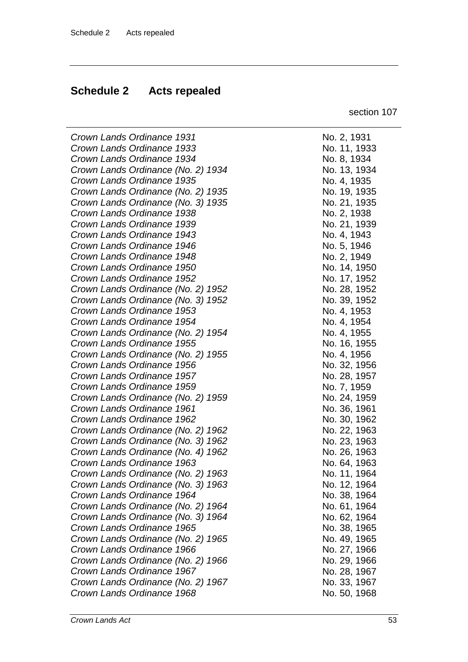## **Schedule 2 Acts repealed**

section 107

*Crown Lands Ordinance 1931* No. 2, 1931 *Crown Lands Ordinance 1933* No. 11, 1933

| Crown Lands Ordinance 1931         |
|------------------------------------|
| Crown Lands Ordinance 1933         |
| Crown Lands Ordinance 1934         |
| Crown Lands Ordinance (No. 2) 1934 |
| Crown Lands Ordinance 1935         |
| Crown Lands Ordinance (No. 2) 1935 |
| Crown Lands Ordinance (No. 3) 1935 |
| Crown Lands Ordinance 1938         |
| Crown Lands Ordinance 1939         |
| Crown Lands Ordinance 1943         |
| Crown Lands Ordinance 1946         |
| Crown Lands Ordinance 1948         |
| Crown Lands Ordinance 1950         |
| Crown Lands Ordinance 1952         |
| Crown Lands Ordinance (No. 2) 1952 |
| Crown Lands Ordinance (No. 3) 1952 |
| Crown Lands Ordinance 1953         |
| Crown Lands Ordinance 1954         |
| Crown Lands Ordinance (No. 2) 1954 |
| Crown Lands Ordinance 1955         |
| Crown Lands Ordinance (No. 2) 1955 |
| Crown Lands Ordinance 1956         |
| Crown Lands Ordinance 1957         |
| Crown Lands Ordinance 1959         |
| Crown Lands Ordinance (No. 2) 1959 |
| Crown Lands Ordinance 1961         |
| Crown Lands Ordinance 1962         |
| Crown Lands Ordinance (No. 2) 1962 |
| Crown Lands Ordinance (No. 3) 1962 |
| Crown Lands Ordinance (No. 4) 1962 |
| Crown Lands Ordinance 1963         |
| Crown Lands Ordinance (No. 2) 1963 |
| Crown Lands Ordinance (No. 3) 1963 |
| Crown Lands Ordinance 1964         |
| Crown Lands Ordinance (No. 2) 1964 |
| Crown Lands Ordinance (No. 3) 1964 |
| Crown Lands Ordinance 1965         |
| Crown Lands Ordinance (No. 2) 1965 |
| Crown Lands Ordinance 1966         |
| Crown Lands Ordinance (No. 2) 1966 |
| Crown Lands Ordinance 1967         |
| Crown Lands Ordinance (No. 2) 1967 |
| Crown Lands Ordinance 1968         |
|                                    |

*Crown Lands Ordinance 1934* No. 8, 1934 *Crown Lands Ordinance (No. 2) 1934* No. 13, 1934 *Crown Lands Ordinance 1935* No. 4, 1935 *Crown Lands Ordinance (No. 2) 1935* No. 19, 1935 *Crown Lands Ordinance (No. 3) 1935* No. 21, 1935 *Crown Lands Ordinance 1938* No. 2, 1938 *Crown Lands Ordinance 1939* No. 21, 1939 *Crown Lands Ordinance 1943* No. 4, 1943 *Crown Lands Ordinance 1946* No. 5, 1946 *Crown Lands Ordinance 1948* No. 2, 1949 *Crown Lands Ordinance 1950* No. 14, 1950 *Crown Lands Ordinance 1952* No. 17, 1952 *Crown Lands Ordinance (No. 2) 1952* No. 28, 1952 *Crown Lands Ordinance (No. 3) 1952* No. 39, 1952 *Crown Lands Ordinance 1953* No. 4, 1953 *Crown Lands Ordinance 1954* No. 4, 1954 *Crown Lands Ordinance (No. 2) 1954* No. 4, 1955 *Crown Lands Ordinance 1955* No. 16, 1955 *Crown Lands Ordinance (No. 2) 1955* No. 4, 1956 *Crown Lands Ordinance 1956* No. 32, 1956 *Crown Lands Ordinance 1957* No. 28, 1957 *Crown Lands Ordinance 1959* No. 7, 1959 *Crown Lands Ordinance (No. 2) 1959* No. 24, 1959 *Crown Lands Ordinance 1961* No. 36, 1961 *Crown Lands Ordinance 1962* No. 30, 1962 *Crown Lands Ordinance (No. 2) 1962* No. 22, 1963 *Crown Lands Ordinance (No. 3) 1962* No. 23, 1963 *Crown Lands Ordinance (No. 4) 1962* No. 26, 1963 *Crown Lands Ordinance 1963* No. 64, 1963 *Crown Lands Ordinance (No. 2) 1963* No. 11, 1964 *Crown Lands Ordinance (No. 3) 1963* No. 12, 1964 *Crown Lands Ordinance 1964* No. 38, 1964 *Crown Lands Ordinance (No. 2) 1964* No. 61, 1964 *Crown Lands Ordinance (No. 3) 1964* No. 62, 1964 *Crown Lands Ordinance 1965* No. 38, 1965 *Crown Lands Ordinance (No. 2) 1965* No. 49, 1965 *Crown Lands Ordinance 1966* No. 27, 1966 *Crown Lands Ordinance (No. 2) 1966* No. 29, 1966 *Crown Lands Ordinance 1967* No. 28, 1967 *Crown Lands Ordinance (No. 2) 1967* No. 33, 1967 *Crown Lands Ordinance 1968* No. 50, 1968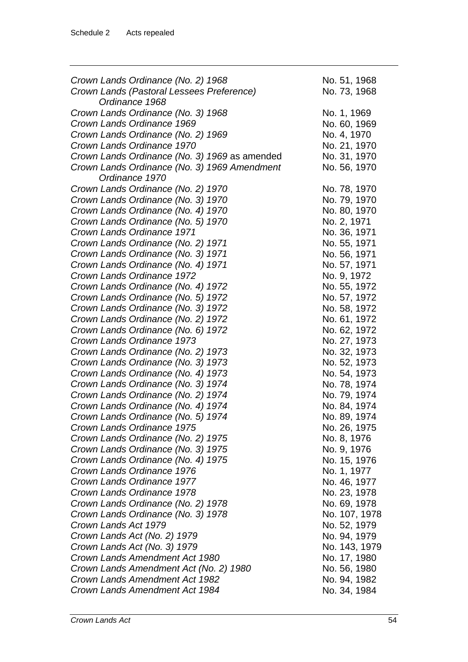| Crown Lands Ordinance (No. 2) 1968            | No. 51, 1968  |
|-----------------------------------------------|---------------|
| Crown Lands (Pastoral Lessees Preference)     | No. 73, 1968  |
| Ordinance 1968                                |               |
| Crown Lands Ordinance (No. 3) 1968            | No. 1, 1969   |
| Crown Lands Ordinance 1969                    | No. 60, 1969  |
| Crown Lands Ordinance (No. 2) 1969            | No. 4, 1970   |
| Crown Lands Ordinance 1970                    | No. 21, 1970  |
| Crown Lands Ordinance (No. 3) 1969 as amended | No. 31, 1970  |
| Crown Lands Ordinance (No. 3) 1969 Amendment  | No. 56, 1970  |
| Ordinance 1970                                |               |
| Crown Lands Ordinance (No. 2) 1970            | No. 78, 1970  |
| Crown Lands Ordinance (No. 3) 1970            | No. 79, 1970  |
| Crown Lands Ordinance (No. 4) 1970            | No. 80, 1970  |
|                                               |               |
| Crown Lands Ordinance (No. 5) 1970            | No. 2, 1971   |
| Crown Lands Ordinance 1971                    | No. 36, 1971  |
| Crown Lands Ordinance (No. 2) 1971            | No. 55, 1971  |
| Crown Lands Ordinance (No. 3) 1971            | No. 56, 1971  |
| Crown Lands Ordinance (No. 4) 1971            | No. 57, 1971  |
| Crown Lands Ordinance 1972                    | No. 9, 1972   |
| Crown Lands Ordinance (No. 4) 1972            | No. 55, 1972  |
| Crown Lands Ordinance (No. 5) 1972            | No. 57, 1972  |
| Crown Lands Ordinance (No. 3) 1972            | No. 58, 1972  |
| Crown Lands Ordinance (No. 2) 1972            | No. 61, 1972  |
| Crown Lands Ordinance (No. 6) 1972            | No. 62, 1972  |
| Crown Lands Ordinance 1973                    | No. 27, 1973  |
| Crown Lands Ordinance (No. 2) 1973            | No. 32, 1973  |
| Crown Lands Ordinance (No. 3) 1973            | No. 52, 1973  |
| Crown Lands Ordinance (No. 4) 1973            | No. 54, 1973  |
| Crown Lands Ordinance (No. 3) 1974            | No. 78, 1974  |
| Crown Lands Ordinance (No. 2) 1974            | No. 79, 1974  |
| Crown Lands Ordinance (No. 4) 1974            | No. 84, 1974  |
| Crown Lands Ordinance (No. 5) 1974            | No. 89, 1974  |
| Crown Lands Ordinance 1975                    | No. 26, 1975  |
| Crown Lands Ordinance (No. 2) 1975            | No. 8, 1976   |
| Crown Lands Ordinance (No. 3) 1975            | No. 9, 1976   |
| Crown Lands Ordinance (No. 4) 1975            | No. 15, 1976  |
| Crown Lands Ordinance 1976                    | No. 1, 1977   |
| Crown Lands Ordinance 1977                    | No. 46, 1977  |
|                                               |               |
| Crown Lands Ordinance 1978                    | No. 23, 1978  |
| Crown Lands Ordinance (No. 2) 1978            | No. 69, 1978  |
| Crown Lands Ordinance (No. 3) 1978            | No. 107, 1978 |
| Crown Lands Act 1979                          | No. 52, 1979  |
| Crown Lands Act (No. 2) 1979                  | No. 94, 1979  |
| Crown Lands Act (No. 3) 1979                  | No. 143, 1979 |
| Crown Lands Amendment Act 1980                | No. 17, 1980  |
| Crown Lands Amendment Act (No. 2) 1980        | No. 56, 1980  |
| Crown Lands Amendment Act 1982                | No. 94, 1982  |
| Crown Lands Amendment Act 1984                | No. 34, 1984  |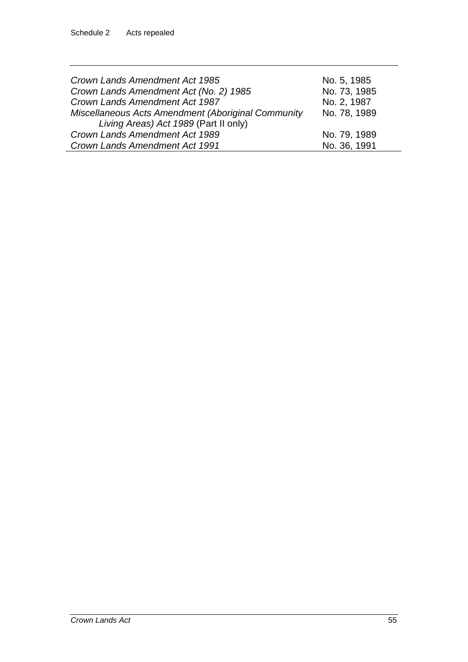| Crown Lands Amendment Act 1985                     | No. 5, 1985  |
|----------------------------------------------------|--------------|
| Crown Lands Amendment Act (No. 2) 1985             | No. 73, 1985 |
| Crown Lands Amendment Act 1987                     | No. 2, 1987  |
| Miscellaneous Acts Amendment (Aboriginal Community | No. 78, 1989 |
| Living Areas) Act 1989 (Part II only)              |              |
| Crown Lands Amendment Act 1989                     | No. 79, 1989 |
| Crown Lands Amendment Act 1991                     | No. 36, 1991 |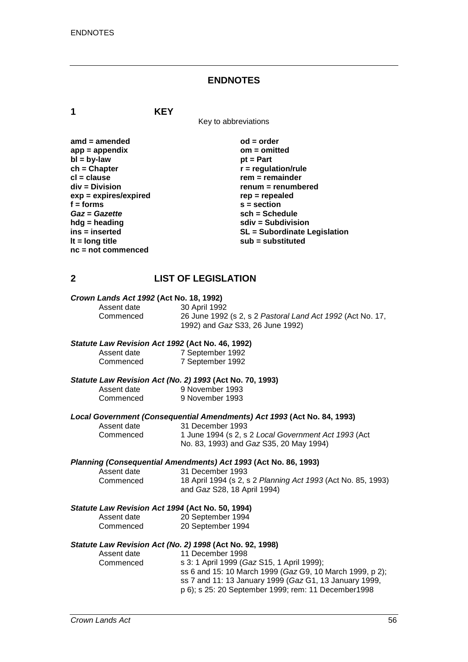#### **ENDNOTES**

**1 KEY**

Key to abbreviations

| $amd = amended$         | $od = order$                        |
|-------------------------|-------------------------------------|
| $app = appendix$        | $om = omitted$                      |
| $bl = by-law$           | $pt = Part$                         |
| $ch = Chapter$          | $r =$ regulation/rule               |
| $cl = clause$           | $rem = remainder$                   |
| div = Division          | renum = renumbered                  |
| $exp = expires/expired$ | $rep = repeated$                    |
| $f = form$              | $s = section$                       |
| Gaz = Gazette           | $sch = Schedule$                    |
| $h dg =$ heading        | $sdiv = Subdivision$                |
| ins = inserted          | <b>SL = Subordinate Legislation</b> |
| It = $long$ title       | sub = substituted                   |
| $nc = not commenced$    |                                     |

#### **2 LIST OF LEGISLATION**

# *Crown Lands Act 1992* **(Act No. 18, 1992)**

Assent date 30 April 1992<br>Commenced 26 June 1992 26 June 1992 (s 2, s 2 Pastoral Land Act 1992 (Act No. 17, 1992) and *Gaz* S33, 26 June 1992)

#### *Statute Law Revision Act 1992* **(Act No. 46, 1992)**

| Assent date | 7 September 1992 |
|-------------|------------------|
| Commenced   | 7 September 1992 |

# *Statute Law Revision Act (No. 2) 1993* **(Act No. 70, 1993)**

Assent date 9 November 1993<br>Commenced 9 November 1993 9 November 1993

# *Local Government (Consequential Amendments) Act 1993* **(Act No. 84, 1993)**

Assent date 31 December 1993<br>Commenced 1 June 1994 (s 2, s 1 June 1994 (s 2, s 2 *Local Government Act 1993* (Act No. 83, 1993) and *Gaz* S35, 20 May 1994)

#### *Planning (Consequential Amendments) Act 1993* **(Act No. 86, 1993)**

Assent date 31 December 1993<br>Commenced 18 April 1994 (s 2, s Commenced 18 April 1994 (s 2, s 2 *Planning Act 1993* (Act No. 85, 1993) and *Gaz* S28, 18 April 1994)

#### *Statute Law Revision Act 1994* **(Act No. 50, 1994)**

| Assent date | 20 September 1994 |
|-------------|-------------------|
| Commenced   | 20 September 1994 |

#### *Statute Law Revision Act (No. 2) 1998* **(Act No. 92, 1998)**

| Assent date | 11 December 1998                                         |
|-------------|----------------------------------------------------------|
| Commenced   | s 3: 1 April 1999 (Gaz S15, 1 April 1999);               |
|             | ss 6 and 15: 10 March 1999 (Gaz G9, 10 March 1999, p 2); |
|             | ss 7 and 11: 13 January 1999 (Gaz G1, 13 January 1999,   |
|             | p 6); s 25: 20 September 1999; rem: 11 December 1998     |
|             |                                                          |